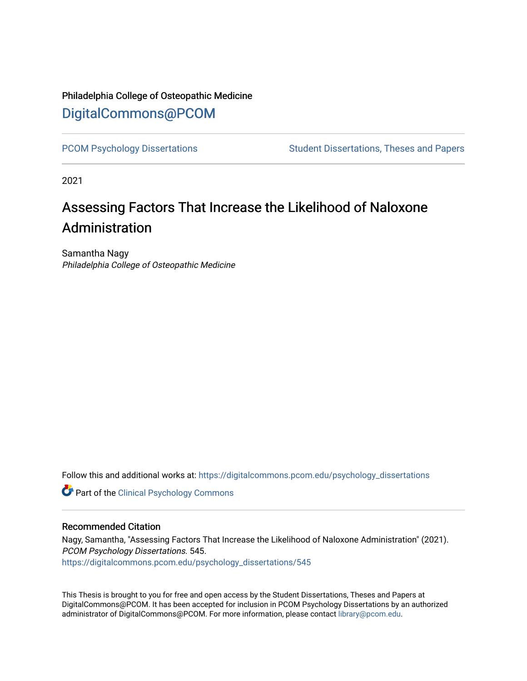## Philadelphia College of Osteopathic Medicine [DigitalCommons@PCOM](https://digitalcommons.pcom.edu/)

[PCOM Psychology Dissertations](https://digitalcommons.pcom.edu/psychology_dissertations) Student Dissertations, Theses and Papers

2021

# Assessing Factors That Increase the Likelihood of Naloxone Administration

Samantha Nagy Philadelphia College of Osteopathic Medicine

Follow this and additional works at: [https://digitalcommons.pcom.edu/psychology\\_dissertations](https://digitalcommons.pcom.edu/psychology_dissertations?utm_source=digitalcommons.pcom.edu%2Fpsychology_dissertations%2F545&utm_medium=PDF&utm_campaign=PDFCoverPages)

**Part of the Clinical Psychology Commons** 

#### Recommended Citation

Nagy, Samantha, "Assessing Factors That Increase the Likelihood of Naloxone Administration" (2021). PCOM Psychology Dissertations. 545. [https://digitalcommons.pcom.edu/psychology\\_dissertations/545](https://digitalcommons.pcom.edu/psychology_dissertations/545?utm_source=digitalcommons.pcom.edu%2Fpsychology_dissertations%2F545&utm_medium=PDF&utm_campaign=PDFCoverPages) 

This Thesis is brought to you for free and open access by the Student Dissertations, Theses and Papers at DigitalCommons@PCOM. It has been accepted for inclusion in PCOM Psychology Dissertations by an authorized administrator of DigitalCommons@PCOM. For more information, please contact [library@pcom.edu.](mailto:library@pcom.edu)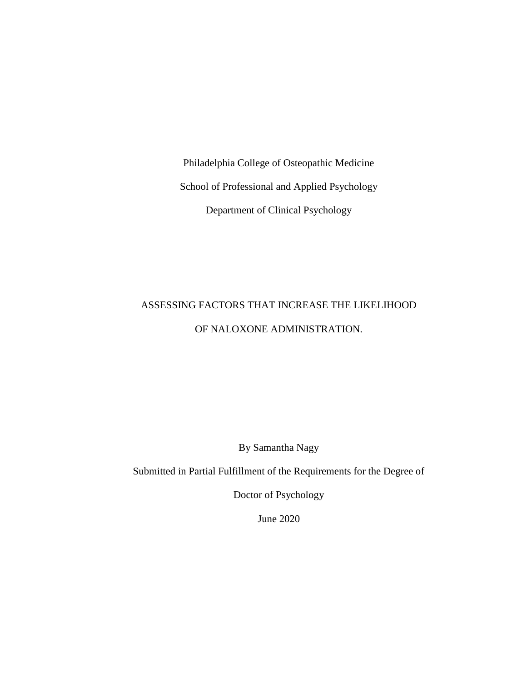Philadelphia College of Osteopathic Medicine School of Professional and Applied Psychology Department of Clinical Psychology

# ASSESSING FACTORS THAT INCREASE THE LIKELIHOOD OF NALOXONE ADMINISTRATION.

By Samantha Nagy

Submitted in Partial Fulfillment of the Requirements for the Degree of

Doctor of Psychology

June 2020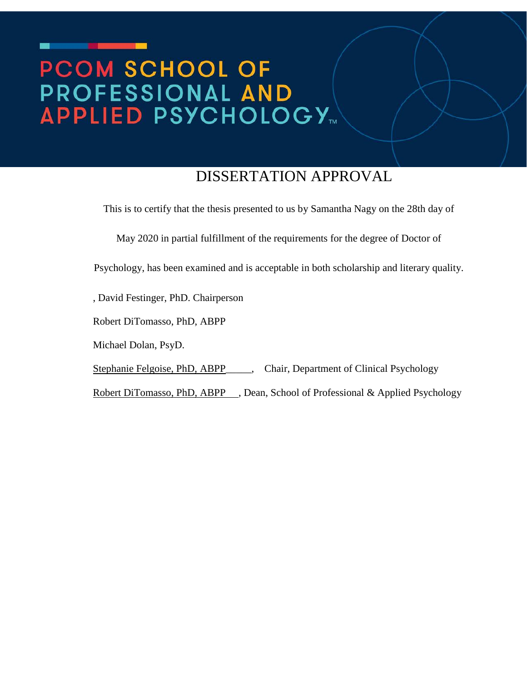# PCOM SCHOOL OF **PROFESSIONAL AND<br>APPLIED PSYCHOLOGY...**

# DISSERTATION APPROVAL

This is to certify that the thesis presented to us by Samantha Nagy on the 28th day of

May 2020 in partial fulfillment of the requirements for the degree of Doctor of

Psychology, has been examined and is acceptable in both scholarship and literary quality.

, David Festinger, PhD. Chairperson

Robert DiTomasso, PhD, ABPP

Michael Dolan, PsyD.

Stephanie Felgoise, PhD, ABPP\_\_\_\_\_, Chair, Department of Clinical Psychology

Robert DiTomasso, PhD, ABPP , Dean, School of Professional & Applied Psychology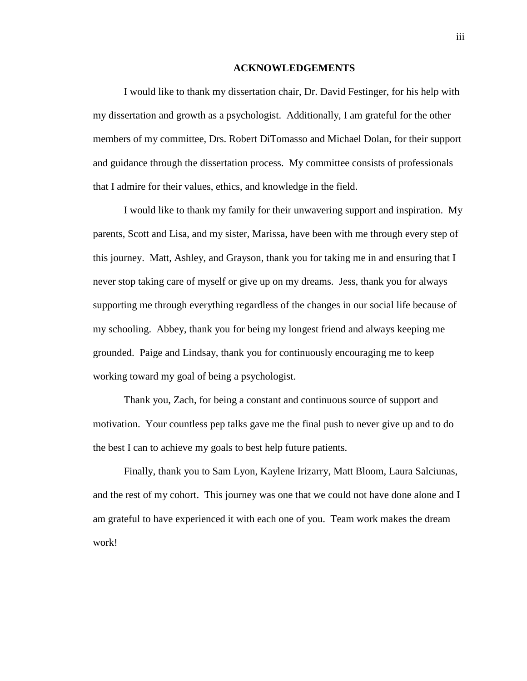#### **ACKNOWLEDGEMENTS**

I would like to thank my dissertation chair, Dr. David Festinger, for his help with my dissertation and growth as a psychologist. Additionally, I am grateful for the other members of my committee, Drs. Robert DiTomasso and Michael Dolan, for their support and guidance through the dissertation process. My committee consists of professionals that I admire for their values, ethics, and knowledge in the field.

I would like to thank my family for their unwavering support and inspiration. My parents, Scott and Lisa, and my sister, Marissa, have been with me through every step of this journey. Matt, Ashley, and Grayson, thank you for taking me in and ensuring that I never stop taking care of myself or give up on my dreams. Jess, thank you for always supporting me through everything regardless of the changes in our social life because of my schooling. Abbey, thank you for being my longest friend and always keeping me grounded. Paige and Lindsay, thank you for continuously encouraging me to keep working toward my goal of being a psychologist.

Thank you, Zach, for being a constant and continuous source of support and motivation. Your countless pep talks gave me the final push to never give up and to do the best I can to achieve my goals to best help future patients.

Finally, thank you to Sam Lyon, Kaylene Irizarry, Matt Bloom, Laura Salciunas, and the rest of my cohort. This journey was one that we could not have done alone and I am grateful to have experienced it with each one of you. Team work makes the dream work!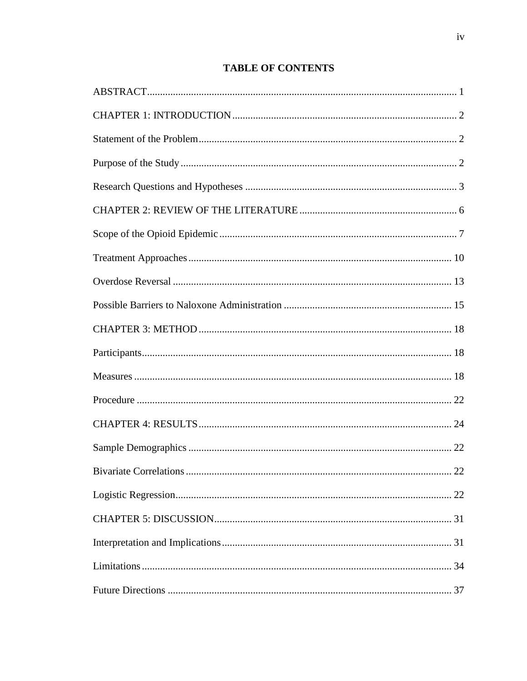## **TABLE OF CONTENTS**

| 22 |
|----|
|    |
|    |
|    |
|    |
|    |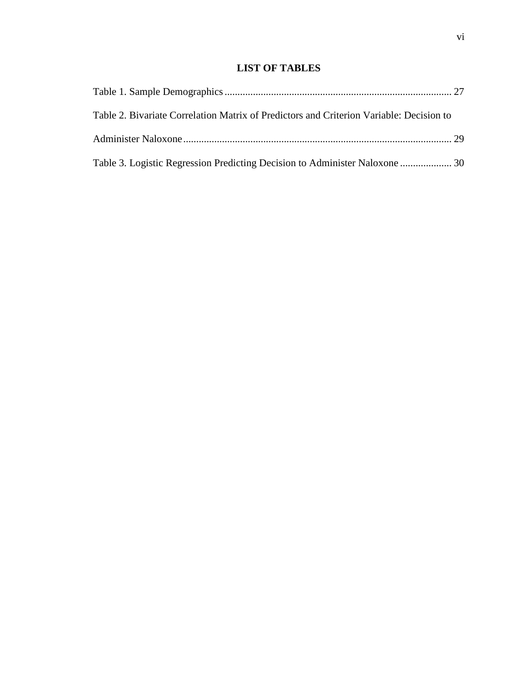## **LIST OF TABLES**

| Table 2. Bivariate Correlation Matrix of Predictors and Criterion Variable: Decision to |  |
|-----------------------------------------------------------------------------------------|--|
|                                                                                         |  |
| Table 3. Logistic Regression Predicting Decision to Administer Naloxone  30             |  |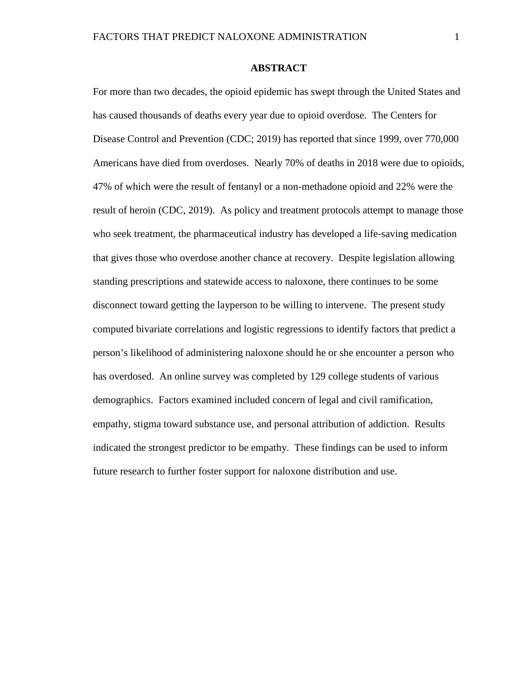#### **ABSTRACT**

<span id="page-7-0"></span>For more than two decades, the opioid epidemic has swept through the United States and has caused thousands of deaths every year due to opioid overdose. The Centers for Disease Control and Prevention (CDC; 2019) has reported that since 1999, over 770,000 Americans have died from overdoses. Nearly 70% of deaths in 2018 were due to opioids, 47% of which were the result of fentanyl or a non-methadone opioid and 22% were the result of heroin (CDC, 2019). As policy and treatment protocols attempt to manage those who seek treatment, the pharmaceutical industry has developed a life-saving medication that gives those who overdose another chance at recovery. Despite legislation allowing standing prescriptions and statewide access to naloxone, there continues to be some disconnect toward getting the layperson to be willing to intervene. The present study computed bivariate correlations and logistic regressions to identify factors that predict a person's likelihood of administering naloxone should he or she encounter a person who has overdosed. An online survey was completed by 129 college students of various demographics. Factors examined included concern of legal and civil ramification, empathy, stigma toward substance use, and personal attribution of addiction. Results indicated the strongest predictor to be empathy. These findings can be used to inform future research to further foster support for naloxone distribution and use.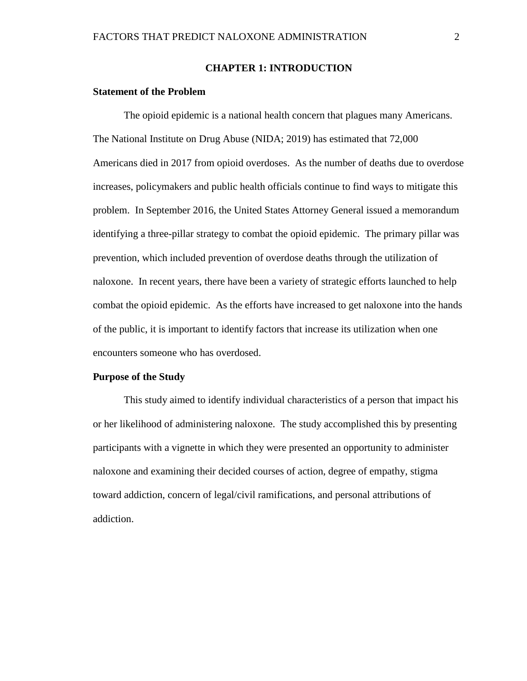#### **CHAPTER 1: INTRODUCTION**

#### <span id="page-8-1"></span><span id="page-8-0"></span>**Statement of the Problem**

The opioid epidemic is a national health concern that plagues many Americans. The National Institute on Drug Abuse (NIDA; 2019) has estimated that 72,000 Americans died in 2017 from opioid overdoses. As the number of deaths due to overdose increases, policymakers and public health officials continue to find ways to mitigate this problem. In September 2016, the United States Attorney General issued a memorandum identifying a three-pillar strategy to combat the opioid epidemic. The primary pillar was prevention, which included prevention of overdose deaths through the utilization of naloxone. In recent years, there have been a variety of strategic efforts launched to help combat the opioid epidemic. As the efforts have increased to get naloxone into the hands of the public, it is important to identify factors that increase its utilization when one encounters someone who has overdosed.

#### <span id="page-8-2"></span>**Purpose of the Study**

This study aimed to identify individual characteristics of a person that impact his or her likelihood of administering naloxone. The study accomplished this by presenting participants with a vignette in which they were presented an opportunity to administer naloxone and examining their decided courses of action, degree of empathy, stigma toward addiction, concern of legal/civil ramifications, and personal attributions of addiction.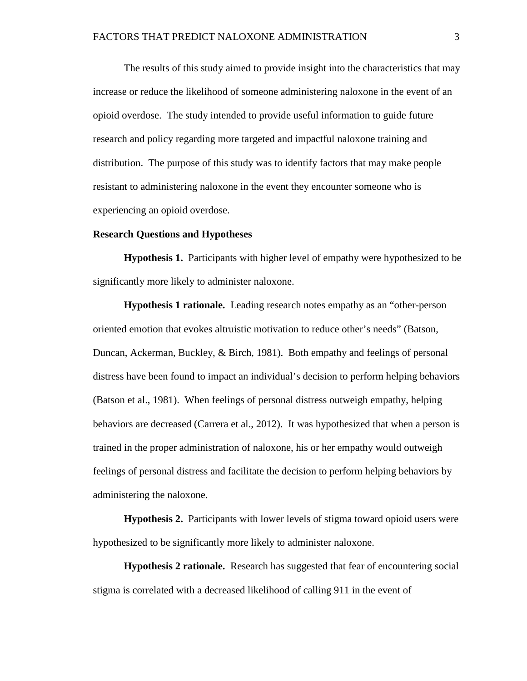The results of this study aimed to provide insight into the characteristics that may increase or reduce the likelihood of someone administering naloxone in the event of an opioid overdose. The study intended to provide useful information to guide future research and policy regarding more targeted and impactful naloxone training and distribution. The purpose of this study was to identify factors that may make people resistant to administering naloxone in the event they encounter someone who is experiencing an opioid overdose.

#### <span id="page-9-0"></span>**Research Questions and Hypotheses**

**Hypothesis 1.** Participants with higher level of empathy were hypothesized to be significantly more likely to administer naloxone.

**Hypothesis 1 rationale.** Leading research notes empathy as an "other-person oriented emotion that evokes altruistic motivation to reduce other's needs" (Batson, Duncan, Ackerman, Buckley, & Birch, 1981). Both empathy and feelings of personal distress have been found to impact an individual's decision to perform helping behaviors (Batson et al., 1981). When feelings of personal distress outweigh empathy, helping behaviors are decreased (Carrera et al., 2012). It was hypothesized that when a person is trained in the proper administration of naloxone, his or her empathy would outweigh feelings of personal distress and facilitate the decision to perform helping behaviors by administering the naloxone.

**Hypothesis 2.** Participants with lower levels of stigma toward opioid users were hypothesized to be significantly more likely to administer naloxone.

**Hypothesis 2 rationale.** Research has suggested that fear of encountering social stigma is correlated with a decreased likelihood of calling 911 in the event of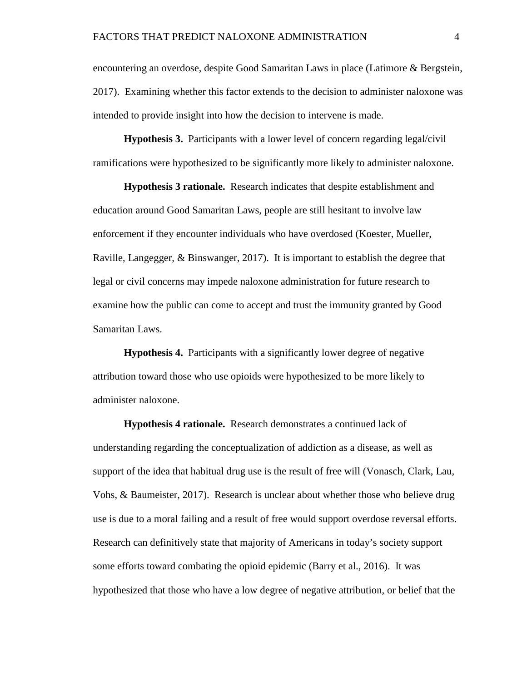encountering an overdose, despite Good Samaritan Laws in place (Latimore & Bergstein, 2017). Examining whether this factor extends to the decision to administer naloxone was intended to provide insight into how the decision to intervene is made.

**Hypothesis 3.** Participants with a lower level of concern regarding legal/civil ramifications were hypothesized to be significantly more likely to administer naloxone.

**Hypothesis 3 rationale.** Research indicates that despite establishment and education around Good Samaritan Laws, people are still hesitant to involve law enforcement if they encounter individuals who have overdosed (Koester, Mueller, Raville, Langegger, & Binswanger, 2017). It is important to establish the degree that legal or civil concerns may impede naloxone administration for future research to examine how the public can come to accept and trust the immunity granted by Good Samaritan Laws.

**Hypothesis 4.** Participants with a significantly lower degree of negative attribution toward those who use opioids were hypothesized to be more likely to administer naloxone.

**Hypothesis 4 rationale.** Research demonstrates a continued lack of understanding regarding the conceptualization of addiction as a disease, as well as support of the idea that habitual drug use is the result of free will (Vonasch, Clark, Lau, Vohs, & Baumeister, 2017). Research is unclear about whether those who believe drug use is due to a moral failing and a result of free would support overdose reversal efforts. Research can definitively state that majority of Americans in today's society support some efforts toward combating the opioid epidemic (Barry et al., 2016). It was hypothesized that those who have a low degree of negative attribution, or belief that the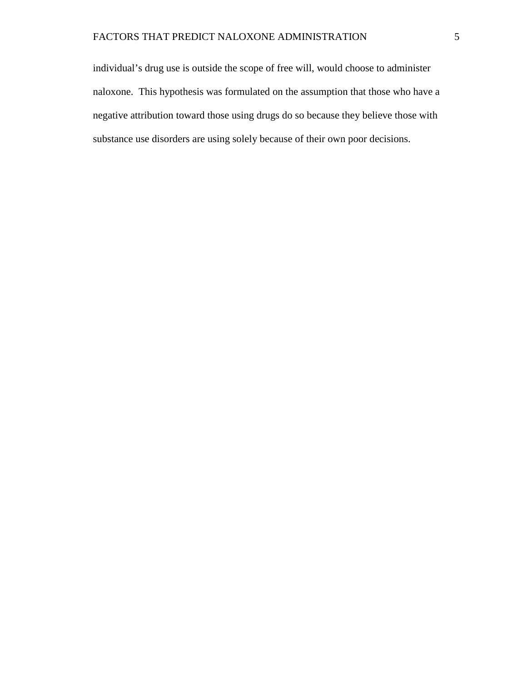individual's drug use is outside the scope of free will, would choose to administer naloxone. This hypothesis was formulated on the assumption that those who have a negative attribution toward those using drugs do so because they believe those with substance use disorders are using solely because of their own poor decisions.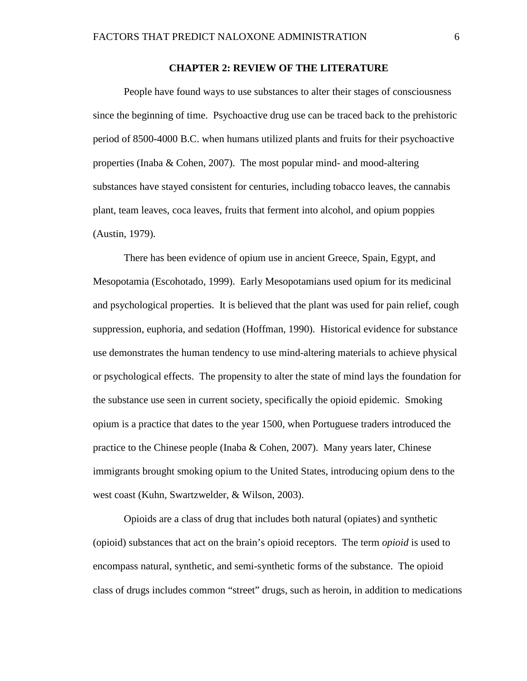#### **CHAPTER 2: REVIEW OF THE LITERATURE**

<span id="page-12-0"></span>People have found ways to use substances to alter their stages of consciousness since the beginning of time. Psychoactive drug use can be traced back to the prehistoric period of 8500-4000 B.C. when humans utilized plants and fruits for their psychoactive properties (Inaba & Cohen, 2007). The most popular mind- and mood-altering substances have stayed consistent for centuries, including tobacco leaves, the cannabis plant, team leaves, coca leaves, fruits that ferment into alcohol, and opium poppies (Austin, 1979).

There has been evidence of opium use in ancient Greece, Spain, Egypt, and Mesopotamia (Escohotado, 1999). Early Mesopotamians used opium for its medicinal and psychological properties. It is believed that the plant was used for pain relief, cough suppression, euphoria, and sedation (Hoffman, 1990). Historical evidence for substance use demonstrates the human tendency to use mind-altering materials to achieve physical or psychological effects. The propensity to alter the state of mind lays the foundation for the substance use seen in current society, specifically the opioid epidemic. Smoking opium is a practice that dates to the year 1500, when Portuguese traders introduced the practice to the Chinese people (Inaba & Cohen, 2007). Many years later, Chinese immigrants brought smoking opium to the United States, introducing opium dens to the west coast (Kuhn, Swartzwelder, & Wilson, 2003).

Opioids are a class of drug that includes both natural (opiates) and synthetic (opioid) substances that act on the brain's opioid receptors. The term *opioid* is used to encompass natural, synthetic, and semi-synthetic forms of the substance. The opioid class of drugs includes common "street" drugs, such as heroin, in addition to medications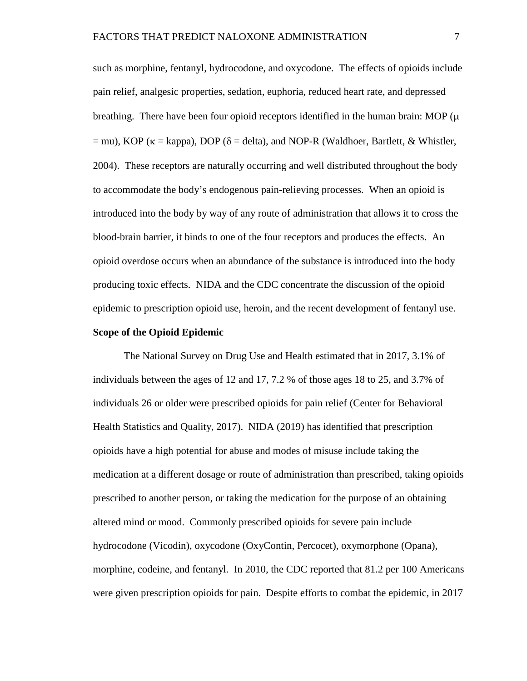such as morphine, fentanyl, hydrocodone, and oxycodone. The effects of opioids include pain relief, analgesic properties, sedation, euphoria, reduced heart rate, and depressed breathing. There have been four opioid receptors identified in the human brain: MOP  $(\mu)$  $=$  mu), KOP ( $\kappa$  = kappa), DOP ( $\delta$  = delta), and NOP-R (Waldhoer, Bartlett, & Whistler, 2004). These receptors are naturally occurring and well distributed throughout the body to accommodate the body's endogenous pain-relieving processes. When an opioid is introduced into the body by way of any route of administration that allows it to cross the blood-brain barrier, it binds to one of the four receptors and produces the effects. An opioid overdose occurs when an abundance of the substance is introduced into the body producing toxic effects. NIDA and the CDC concentrate the discussion of the opioid epidemic to prescription opioid use, heroin, and the recent development of fentanyl use.

#### **Scope of the Opioid Epidemic**

The National Survey on Drug Use and Health estimated that in 2017, 3.1% of individuals between the ages of 12 and 17, 7.2 % of those ages 18 to 25, and 3.7% of individuals 26 or older were prescribed opioids for pain relief (Center for Behavioral Health Statistics and Quality, 2017). NIDA (2019) has identified that prescription opioids have a high potential for abuse and modes of misuse include taking the medication at a different dosage or route of administration than prescribed, taking opioids prescribed to another person, or taking the medication for the purpose of an obtaining altered mind or mood. Commonly prescribed opioids for severe pain include hydrocodone (Vicodin), oxycodone (OxyContin, Percocet), oxymorphone (Opana), morphine, codeine, and fentanyl. In 2010, the CDC reported that 81.2 per 100 Americans were given prescription opioids for pain. Despite efforts to combat the epidemic, in 2017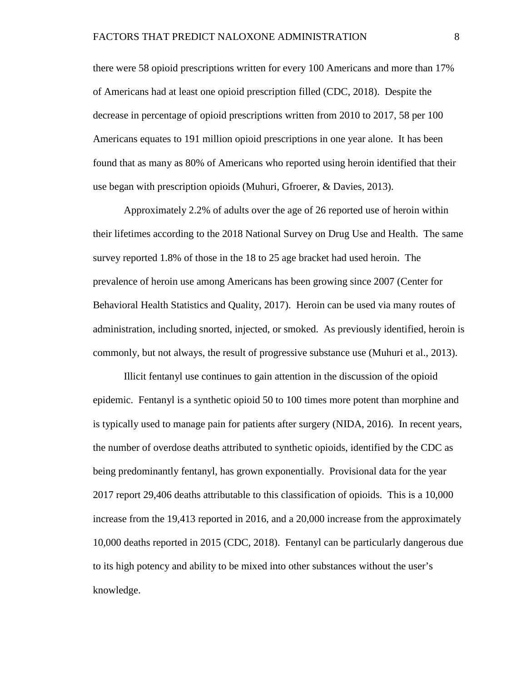there were 58 opioid prescriptions written for every 100 Americans and more than 17% of Americans had at least one opioid prescription filled (CDC, 2018). Despite the decrease in percentage of opioid prescriptions written from 2010 to 2017, 58 per 100 Americans equates to 191 million opioid prescriptions in one year alone. It has been found that as many as 80% of Americans who reported using heroin identified that their use began with prescription opioids (Muhuri, Gfroerer, & Davies, 2013).

Approximately 2.2% of adults over the age of 26 reported use of heroin within their lifetimes according to the 2018 National Survey on Drug Use and Health. The same survey reported 1.8% of those in the 18 to 25 age bracket had used heroin. The prevalence of heroin use among Americans has been growing since 2007 (Center for Behavioral Health Statistics and Quality, 2017). Heroin can be used via many routes of administration, including snorted, injected, or smoked. As previously identified, heroin is commonly, but not always, the result of progressive substance use (Muhuri et al., 2013).

Illicit fentanyl use continues to gain attention in the discussion of the opioid epidemic. Fentanyl is a synthetic opioid 50 to 100 times more potent than morphine and is typically used to manage pain for patients after surgery (NIDA, 2016). In recent years, the number of overdose deaths attributed to synthetic opioids, identified by the CDC as being predominantly fentanyl, has grown exponentially. Provisional data for the year 2017 report 29,406 deaths attributable to this classification of opioids. This is a 10,000 increase from the 19,413 reported in 2016, and a 20,000 increase from the approximately 10,000 deaths reported in 2015 (CDC, 2018). Fentanyl can be particularly dangerous due to its high potency and ability to be mixed into other substances without the user's knowledge.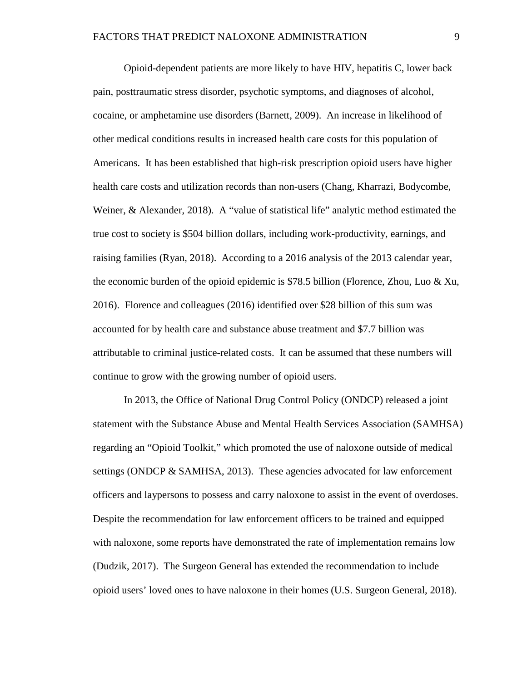Opioid-dependent patients are more likely to have HIV, hepatitis C, lower back pain, posttraumatic stress disorder, psychotic symptoms, and diagnoses of alcohol, cocaine, or amphetamine use disorders (Barnett, 2009). An increase in likelihood of other medical conditions results in increased health care costs for this population of Americans. It has been established that high-risk prescription opioid users have higher health care costs and utilization records than non-users (Chang, Kharrazi, Bodycombe, Weiner, & Alexander, 2018). A "value of statistical life" analytic method estimated the true cost to society is \$504 billion dollars, including work-productivity, earnings, and raising families (Ryan, 2018). According to a 2016 analysis of the 2013 calendar year, the economic burden of the opioid epidemic is \$78.5 billion (Florence, Zhou, Luo & Xu, 2016). Florence and colleagues (2016) identified over \$28 billion of this sum was accounted for by health care and substance abuse treatment and \$7.7 billion was attributable to criminal justice-related costs. It can be assumed that these numbers will continue to grow with the growing number of opioid users.

In 2013, the Office of National Drug Control Policy (ONDCP) released a joint statement with the Substance Abuse and Mental Health Services Association (SAMHSA) regarding an "Opioid Toolkit," which promoted the use of naloxone outside of medical settings (ONDCP & SAMHSA, 2013). These agencies advocated for law enforcement officers and laypersons to possess and carry naloxone to assist in the event of overdoses. Despite the recommendation for law enforcement officers to be trained and equipped with naloxone, some reports have demonstrated the rate of implementation remains low (Dudzik, 2017). The Surgeon General has extended the recommendation to include opioid users' loved ones to have naloxone in their homes (U.S. Surgeon General, 2018).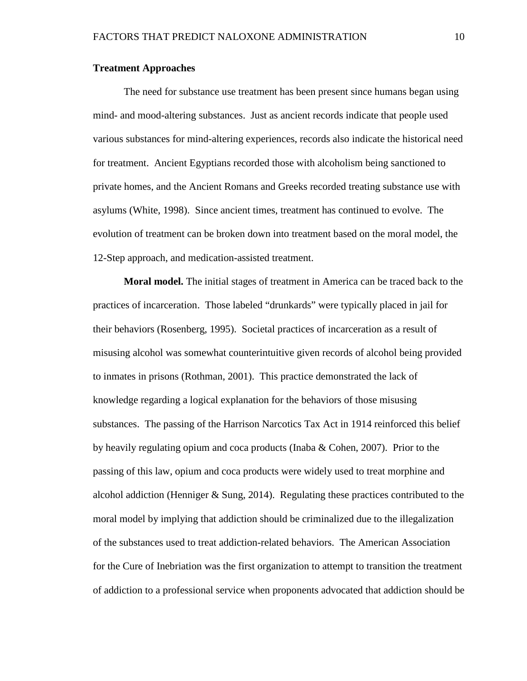#### **Treatment Approaches**

The need for substance use treatment has been present since humans began using mind- and mood-altering substances. Just as ancient records indicate that people used various substances for mind-altering experiences, records also indicate the historical need for treatment. Ancient Egyptians recorded those with alcoholism being sanctioned to private homes, and the Ancient Romans and Greeks recorded treating substance use with asylums (White, 1998). Since ancient times, treatment has continued to evolve. The evolution of treatment can be broken down into treatment based on the moral model, the 12-Step approach, and medication-assisted treatment.

**Moral model.** The initial stages of treatment in America can be traced back to the practices of incarceration. Those labeled "drunkards" were typically placed in jail for their behaviors (Rosenberg, 1995). Societal practices of incarceration as a result of misusing alcohol was somewhat counterintuitive given records of alcohol being provided to inmates in prisons (Rothman, 2001). This practice demonstrated the lack of knowledge regarding a logical explanation for the behaviors of those misusing substances. The passing of the Harrison Narcotics Tax Act in 1914 reinforced this belief by heavily regulating opium and coca products (Inaba & Cohen, 2007). Prior to the passing of this law, opium and coca products were widely used to treat morphine and alcohol addiction (Henniger  $\&$  Sung, 2014). Regulating these practices contributed to the moral model by implying that addiction should be criminalized due to the illegalization of the substances used to treat addiction-related behaviors. The American Association for the Cure of Inebriation was the first organization to attempt to transition the treatment of addiction to a professional service when proponents advocated that addiction should be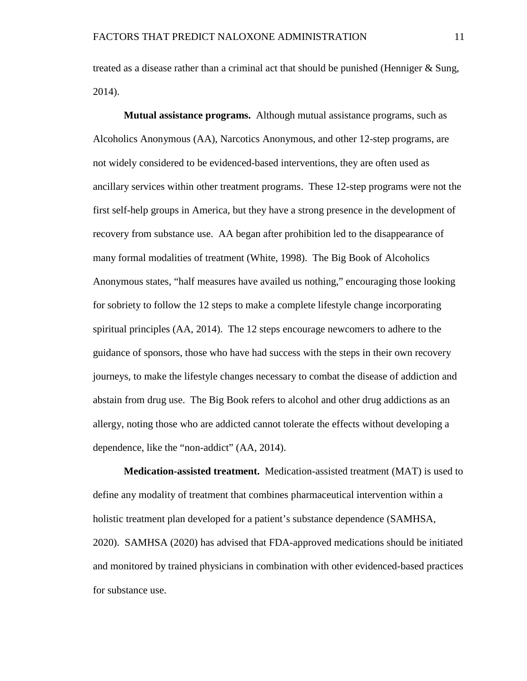treated as a disease rather than a criminal act that should be punished (Henniger & Sung, 2014).

**Mutual assistance programs.** Although mutual assistance programs, such as Alcoholics Anonymous (AA), Narcotics Anonymous, and other 12-step programs, are not widely considered to be evidenced-based interventions, they are often used as ancillary services within other treatment programs. These 12-step programs were not the first self-help groups in America, but they have a strong presence in the development of recovery from substance use. AA began after prohibition led to the disappearance of many formal modalities of treatment (White, 1998). The Big Book of Alcoholics Anonymous states, "half measures have availed us nothing," encouraging those looking for sobriety to follow the 12 steps to make a complete lifestyle change incorporating spiritual principles (AA, 2014). The 12 steps encourage newcomers to adhere to the guidance of sponsors, those who have had success with the steps in their own recovery journeys, to make the lifestyle changes necessary to combat the disease of addiction and abstain from drug use. The Big Book refers to alcohol and other drug addictions as an allergy, noting those who are addicted cannot tolerate the effects without developing a dependence, like the "non-addict" (AA, 2014).

**Medication-assisted treatment.** Medication-assisted treatment (MAT) is used to define any modality of treatment that combines pharmaceutical intervention within a holistic treatment plan developed for a patient's substance dependence (SAMHSA, 2020). SAMHSA (2020) has advised that FDA-approved medications should be initiated and monitored by trained physicians in combination with other evidenced-based practices for substance use.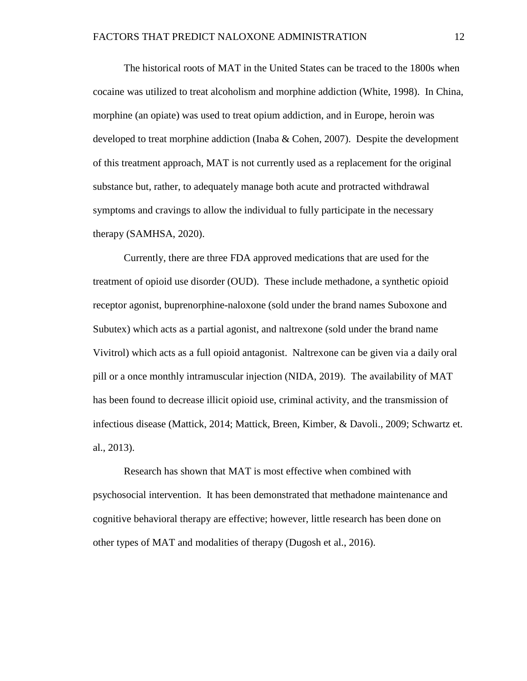The historical roots of MAT in the United States can be traced to the 1800s when cocaine was utilized to treat alcoholism and morphine addiction (White, 1998). In China, morphine (an opiate) was used to treat opium addiction, and in Europe, heroin was developed to treat morphine addiction (Inaba & Cohen, 2007). Despite the development of this treatment approach, MAT is not currently used as a replacement for the original substance but, rather, to adequately manage both acute and protracted withdrawal symptoms and cravings to allow the individual to fully participate in the necessary therapy (SAMHSA, 2020).

Currently, there are three FDA approved medications that are used for the treatment of opioid use disorder (OUD). These include methadone, a synthetic opioid receptor agonist, buprenorphine-naloxone (sold under the brand names Suboxone and Subutex) which acts as a partial agonist, and naltrexone (sold under the brand name Vivitrol) which acts as a full opioid antagonist. Naltrexone can be given via a daily oral pill or a once monthly intramuscular injection (NIDA, 2019). The availability of MAT has been found to decrease illicit opioid use, criminal activity, and the transmission of infectious disease (Mattick, 2014; Mattick, Breen, Kimber, & Davoli., 2009; Schwartz et. al., 2013).

Research has shown that MAT is most effective when combined with psychosocial intervention. It has been demonstrated that methadone maintenance and cognitive behavioral therapy are effective; however, little research has been done on other types of MAT and modalities of therapy (Dugosh et al., 2016).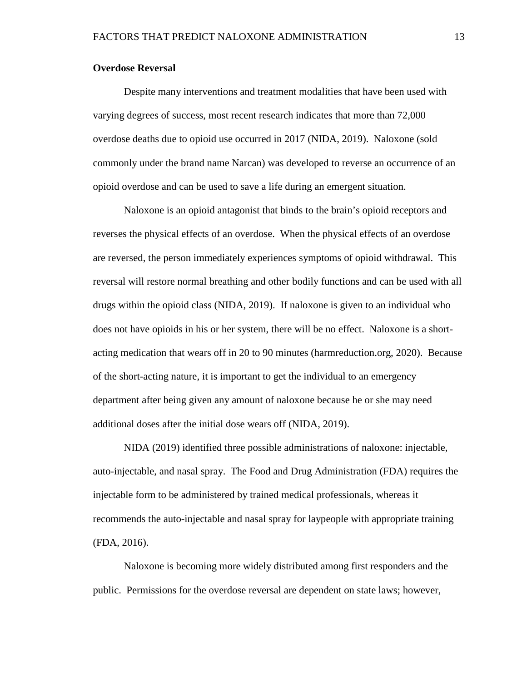#### **Overdose Reversal**

Despite many interventions and treatment modalities that have been used with varying degrees of success, most recent research indicates that more than 72,000 overdose deaths due to opioid use occurred in 2017 (NIDA, 2019). Naloxone (sold commonly under the brand name Narcan) was developed to reverse an occurrence of an opioid overdose and can be used to save a life during an emergent situation.

Naloxone is an opioid antagonist that binds to the brain's opioid receptors and reverses the physical effects of an overdose. When the physical effects of an overdose are reversed, the person immediately experiences symptoms of opioid withdrawal. This reversal will restore normal breathing and other bodily functions and can be used with all drugs within the opioid class (NIDA, 2019). If naloxone is given to an individual who does not have opioids in his or her system, there will be no effect. Naloxone is a shortacting medication that wears off in 20 to 90 minutes (harmreduction.org, 2020). Because of the short-acting nature, it is important to get the individual to an emergency department after being given any amount of naloxone because he or she may need additional doses after the initial dose wears off (NIDA, 2019).

NIDA (2019) identified three possible administrations of naloxone: injectable, auto-injectable, and nasal spray. The Food and Drug Administration (FDA) requires the injectable form to be administered by trained medical professionals, whereas it recommends the auto-injectable and nasal spray for laypeople with appropriate training (FDA, 2016).

Naloxone is becoming more widely distributed among first responders and the public. Permissions for the overdose reversal are dependent on state laws; however,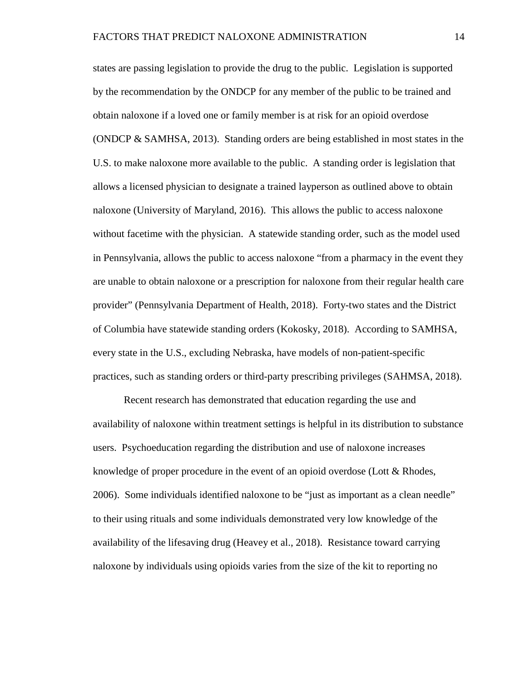states are passing legislation to provide the drug to the public. Legislation is supported by the recommendation by the ONDCP for any member of the public to be trained and obtain naloxone if a loved one or family member is at risk for an opioid overdose (ONDCP & SAMHSA, 2013). Standing orders are being established in most states in the U.S. to make naloxone more available to the public. A standing order is legislation that allows a licensed physician to designate a trained layperson as outlined above to obtain naloxone (University of Maryland, 2016). This allows the public to access naloxone without facetime with the physician. A statewide standing order, such as the model used in Pennsylvania, allows the public to access naloxone "from a pharmacy in the event they are unable to obtain naloxone or a prescription for naloxone from their regular health care provider" (Pennsylvania Department of Health, 2018). Forty-two states and the District of Columbia have statewide standing orders (Kokosky, 2018). According to SAMHSA, every state in the U.S., excluding Nebraska, have models of non-patient-specific practices, such as standing orders or third-party prescribing privileges (SAHMSA, 2018).

Recent research has demonstrated that education regarding the use and availability of naloxone within treatment settings is helpful in its distribution to substance users. Psychoeducation regarding the distribution and use of naloxone increases knowledge of proper procedure in the event of an opioid overdose (Lott & Rhodes, 2006). Some individuals identified naloxone to be "just as important as a clean needle" to their using rituals and some individuals demonstrated very low knowledge of the availability of the lifesaving drug (Heavey et al., 2018). Resistance toward carrying naloxone by individuals using opioids varies from the size of the kit to reporting no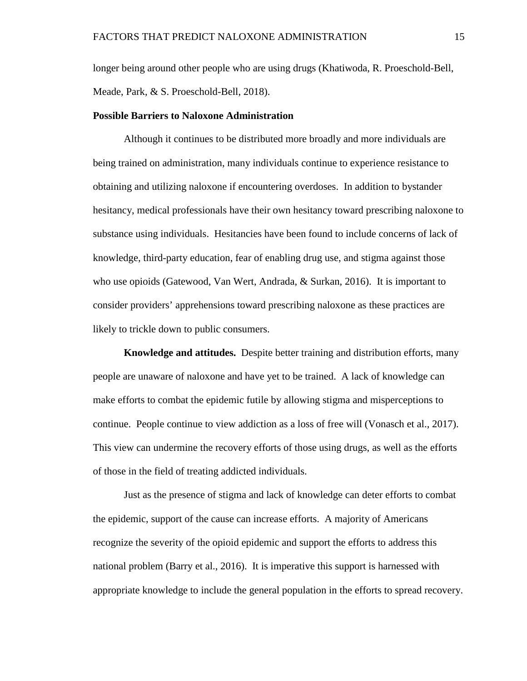longer being around other people who are using drugs (Khatiwoda, R. Proeschold-Bell, Meade, Park, & S. Proeschold-Bell, 2018).

#### **Possible Barriers to Naloxone Administration**

Although it continues to be distributed more broadly and more individuals are being trained on administration, many individuals continue to experience resistance to obtaining and utilizing naloxone if encountering overdoses. In addition to bystander hesitancy, medical professionals have their own hesitancy toward prescribing naloxone to substance using individuals. Hesitancies have been found to include concerns of lack of knowledge, third-party education, fear of enabling drug use, and stigma against those who use opioids (Gatewood, Van Wert, Andrada, & Surkan, 2016). It is important to consider providers' apprehensions toward prescribing naloxone as these practices are likely to trickle down to public consumers.

**Knowledge and attitudes.** Despite better training and distribution efforts, many people are unaware of naloxone and have yet to be trained. A lack of knowledge can make efforts to combat the epidemic futile by allowing stigma and misperceptions to continue. People continue to view addiction as a loss of free will (Vonasch et al., 2017). This view can undermine the recovery efforts of those using drugs, as well as the efforts of those in the field of treating addicted individuals.

Just as the presence of stigma and lack of knowledge can deter efforts to combat the epidemic, support of the cause can increase efforts. A majority of Americans recognize the severity of the opioid epidemic and support the efforts to address this national problem (Barry et al., 2016). It is imperative this support is harnessed with appropriate knowledge to include the general population in the efforts to spread recovery.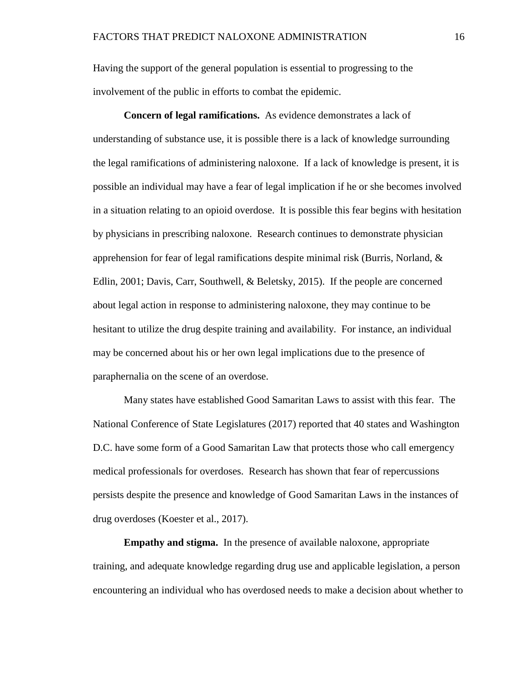Having the support of the general population is essential to progressing to the involvement of the public in efforts to combat the epidemic.

**Concern of legal ramifications.** As evidence demonstrates a lack of understanding of substance use, it is possible there is a lack of knowledge surrounding the legal ramifications of administering naloxone. If a lack of knowledge is present, it is possible an individual may have a fear of legal implication if he or she becomes involved in a situation relating to an opioid overdose. It is possible this fear begins with hesitation by physicians in prescribing naloxone. Research continues to demonstrate physician apprehension for fear of legal ramifications despite minimal risk (Burris, Norland, & Edlin, 2001; Davis, Carr, Southwell, & Beletsky, 2015). If the people are concerned about legal action in response to administering naloxone, they may continue to be hesitant to utilize the drug despite training and availability. For instance, an individual may be concerned about his or her own legal implications due to the presence of paraphernalia on the scene of an overdose.

Many states have established Good Samaritan Laws to assist with this fear. The National Conference of State Legislatures (2017) reported that 40 states and Washington D.C. have some form of a Good Samaritan Law that protects those who call emergency medical professionals for overdoses. Research has shown that fear of repercussions persists despite the presence and knowledge of Good Samaritan Laws in the instances of drug overdoses (Koester et al., 2017).

**Empathy and stigma.** In the presence of available naloxone, appropriate training, and adequate knowledge regarding drug use and applicable legislation, a person encountering an individual who has overdosed needs to make a decision about whether to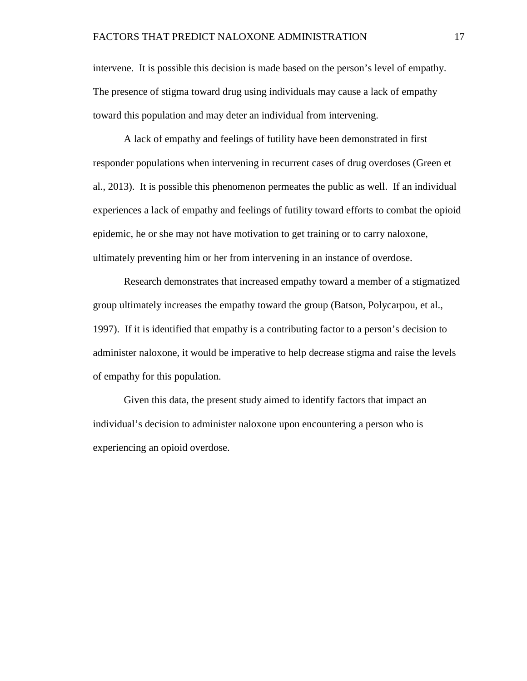intervene. It is possible this decision is made based on the person's level of empathy. The presence of stigma toward drug using individuals may cause a lack of empathy toward this population and may deter an individual from intervening.

A lack of empathy and feelings of futility have been demonstrated in first responder populations when intervening in recurrent cases of drug overdoses (Green et al., 2013). It is possible this phenomenon permeates the public as well. If an individual experiences a lack of empathy and feelings of futility toward efforts to combat the opioid epidemic, he or she may not have motivation to get training or to carry naloxone, ultimately preventing him or her from intervening in an instance of overdose.

Research demonstrates that increased empathy toward a member of a stigmatized group ultimately increases the empathy toward the group (Batson, Polycarpou, et al., 1997). If it is identified that empathy is a contributing factor to a person's decision to administer naloxone, it would be imperative to help decrease stigma and raise the levels of empathy for this population.

Given this data, the present study aimed to identify factors that impact an individual's decision to administer naloxone upon encountering a person who is experiencing an opioid overdose.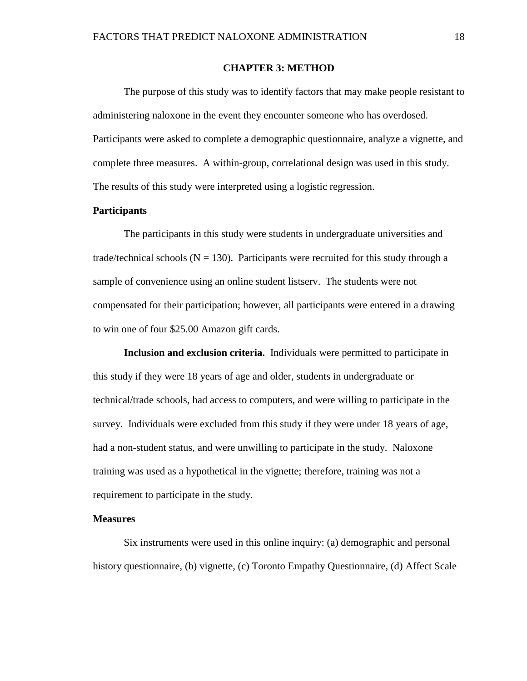#### **CHAPTER 3: METHOD**

<span id="page-24-0"></span>The purpose of this study was to identify factors that may make people resistant to administering naloxone in the event they encounter someone who has overdosed. Participants were asked to complete a demographic questionnaire, analyze a vignette, and complete three measures. A within-group, correlational design was used in this study. The results of this study were interpreted using a logistic regression.

#### <span id="page-24-1"></span>**Participants**

The participants in this study were students in undergraduate universities and trade/technical schools  $(N = 130)$ . Participants were recruited for this study through a sample of convenience using an online student listserv. The students were not compensated for their participation; however, all participants were entered in a drawing to win one of four \$25.00 Amazon gift cards.

**Inclusion and exclusion criteria.** Individuals were permitted to participate in this study if they were 18 years of age and older, students in undergraduate or technical/trade schools, had access to computers, and were willing to participate in the survey. Individuals were excluded from this study if they were under 18 years of age, had a non-student status, and were unwilling to participate in the study. Naloxone training was used as a hypothetical in the vignette; therefore, training was not a requirement to participate in the study.

#### <span id="page-24-2"></span>**Measures**

Six instruments were used in this online inquiry: (a) demographic and personal history questionnaire, (b) vignette, (c) Toronto Empathy Questionnaire, (d) Affect Scale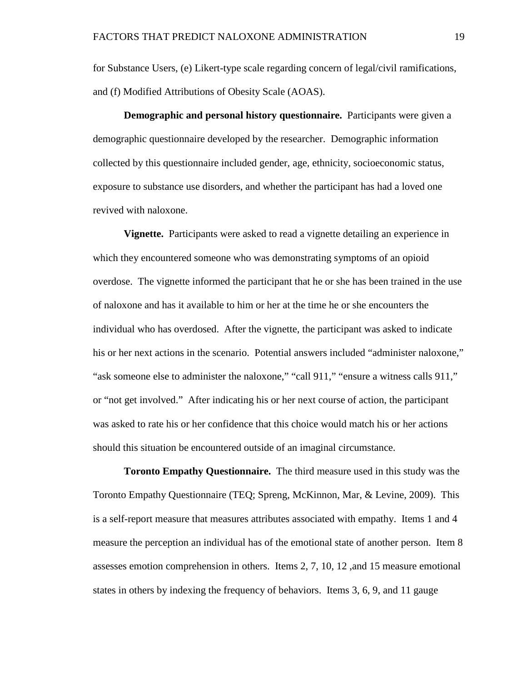for Substance Users, (e) Likert-type scale regarding concern of legal/civil ramifications, and (f) Modified Attributions of Obesity Scale (AOAS).

**Demographic and personal history questionnaire.** Participants were given a demographic questionnaire developed by the researcher. Demographic information collected by this questionnaire included gender, age, ethnicity, socioeconomic status, exposure to substance use disorders, and whether the participant has had a loved one revived with naloxone.

**Vignette.** Participants were asked to read a vignette detailing an experience in which they encountered someone who was demonstrating symptoms of an opioid overdose. The vignette informed the participant that he or she has been trained in the use of naloxone and has it available to him or her at the time he or she encounters the individual who has overdosed. After the vignette, the participant was asked to indicate his or her next actions in the scenario. Potential answers included "administer naloxone," "ask someone else to administer the naloxone," "call 911," "ensure a witness calls 911," or "not get involved." After indicating his or her next course of action, the participant was asked to rate his or her confidence that this choice would match his or her actions should this situation be encountered outside of an imaginal circumstance.

**Toronto Empathy Questionnaire.** The third measure used in this study was the Toronto Empathy Questionnaire (TEQ; Spreng, McKinnon, Mar, & Levine, 2009). This is a self-report measure that measures attributes associated with empathy. Items 1 and 4 measure the perception an individual has of the emotional state of another person. Item 8 assesses emotion comprehension in others. Items 2, 7, 10, 12 ,and 15 measure emotional states in others by indexing the frequency of behaviors. Items 3, 6, 9, and 11 gauge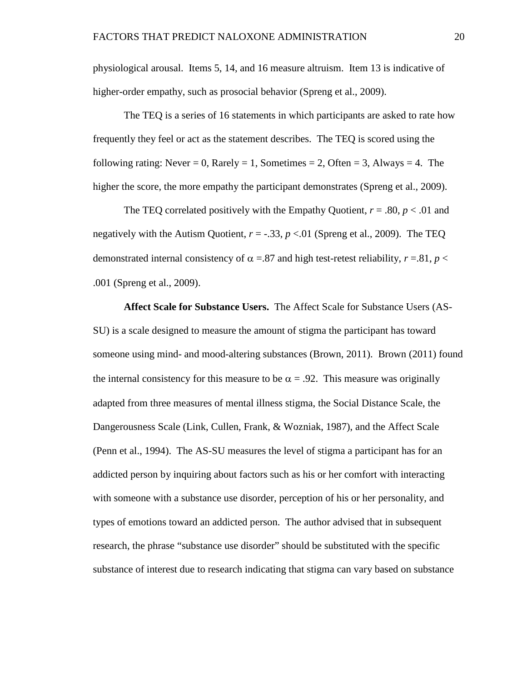physiological arousal. Items 5, 14, and 16 measure altruism. Item 13 is indicative of higher-order empathy, such as prosocial behavior (Spreng et al., 2009).

The TEQ is a series of 16 statements in which participants are asked to rate how frequently they feel or act as the statement describes. The TEQ is scored using the following rating: Never = 0, Rarely = 1, Sometimes = 2, Often = 3, Always = 4. The higher the score, the more empathy the participant demonstrates (Spreng et al., 2009).

The TEQ correlated positively with the Empathy Quotient,  $r = .80$ ,  $p < .01$  and negatively with the Autism Quotient,  $r = -.33$ ,  $p < .01$  (Spreng et al., 2009). The TEQ demonstrated internal consistency of  $\alpha$  =.87 and high test-retest reliability,  $r = .81$ ,  $p <$ .001 (Spreng et al., 2009).

**Affect Scale for Substance Users.** The Affect Scale for Substance Users (AS-SU) is a scale designed to measure the amount of stigma the participant has toward someone using mind- and mood-altering substances (Brown, 2011). Brown (2011) found the internal consistency for this measure to be  $\alpha = .92$ . This measure was originally adapted from three measures of mental illness stigma, the Social Distance Scale, the Dangerousness Scale (Link, Cullen, Frank, & Wozniak, 1987), and the Affect Scale (Penn et al., 1994). The AS-SU measures the level of stigma a participant has for an addicted person by inquiring about factors such as his or her comfort with interacting with someone with a substance use disorder, perception of his or her personality, and types of emotions toward an addicted person. The author advised that in subsequent research, the phrase "substance use disorder" should be substituted with the specific substance of interest due to research indicating that stigma can vary based on substance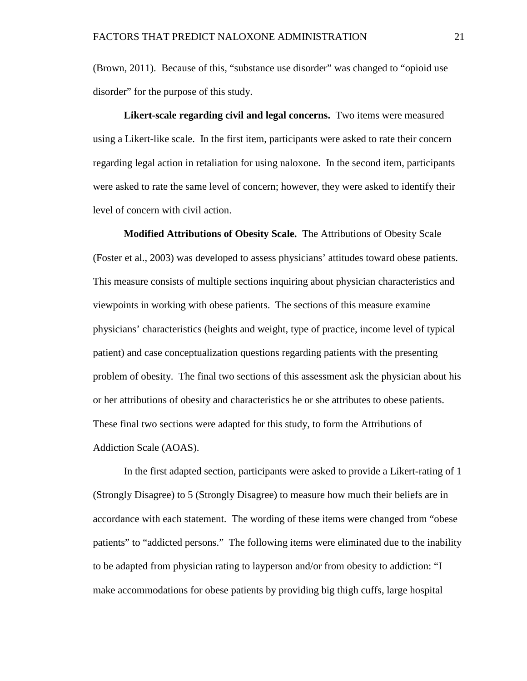(Brown, 2011). Because of this, "substance use disorder" was changed to "opioid use disorder" for the purpose of this study.

**Likert-scale regarding civil and legal concerns.** Two items were measured using a Likert-like scale. In the first item, participants were asked to rate their concern regarding legal action in retaliation for using naloxone. In the second item, participants were asked to rate the same level of concern; however, they were asked to identify their level of concern with civil action.

**Modified Attributions of Obesity Scale.** The Attributions of Obesity Scale (Foster et al., 2003) was developed to assess physicians' attitudes toward obese patients. This measure consists of multiple sections inquiring about physician characteristics and viewpoints in working with obese patients. The sections of this measure examine physicians' characteristics (heights and weight, type of practice, income level of typical patient) and case conceptualization questions regarding patients with the presenting problem of obesity. The final two sections of this assessment ask the physician about his or her attributions of obesity and characteristics he or she attributes to obese patients. These final two sections were adapted for this study, to form the Attributions of Addiction Scale (AOAS).

In the first adapted section, participants were asked to provide a Likert-rating of 1 (Strongly Disagree) to 5 (Strongly Disagree) to measure how much their beliefs are in accordance with each statement. The wording of these items were changed from "obese patients" to "addicted persons." The following items were eliminated due to the inability to be adapted from physician rating to layperson and/or from obesity to addiction: "I make accommodations for obese patients by providing big thigh cuffs, large hospital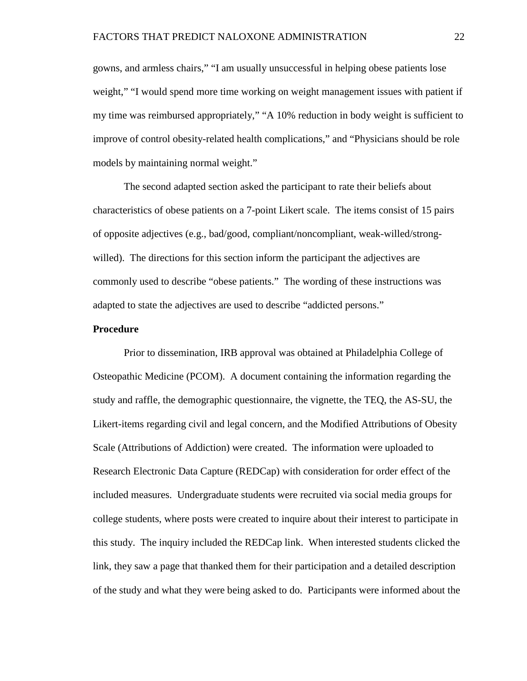gowns, and armless chairs," "I am usually unsuccessful in helping obese patients lose weight," "I would spend more time working on weight management issues with patient if my time was reimbursed appropriately," "A 10% reduction in body weight is sufficient to improve of control obesity-related health complications," and "Physicians should be role models by maintaining normal weight."

The second adapted section asked the participant to rate their beliefs about characteristics of obese patients on a 7-point Likert scale. The items consist of 15 pairs of opposite adjectives (e.g., bad/good, compliant/noncompliant, weak-willed/strongwilled). The directions for this section inform the participant the adjectives are commonly used to describe "obese patients." The wording of these instructions was adapted to state the adjectives are used to describe "addicted persons."

#### <span id="page-28-0"></span>**Procedure**

Prior to dissemination, IRB approval was obtained at Philadelphia College of Osteopathic Medicine (PCOM). A document containing the information regarding the study and raffle, the demographic questionnaire, the vignette, the TEQ, the AS-SU, the Likert-items regarding civil and legal concern, and the Modified Attributions of Obesity Scale (Attributions of Addiction) were created. The information were uploaded to Research Electronic Data Capture (REDCap) with consideration for order effect of the included measures. Undergraduate students were recruited via social media groups for college students, where posts were created to inquire about their interest to participate in this study. The inquiry included the REDCap link. When interested students clicked the link, they saw a page that thanked them for their participation and a detailed description of the study and what they were being asked to do. Participants were informed about the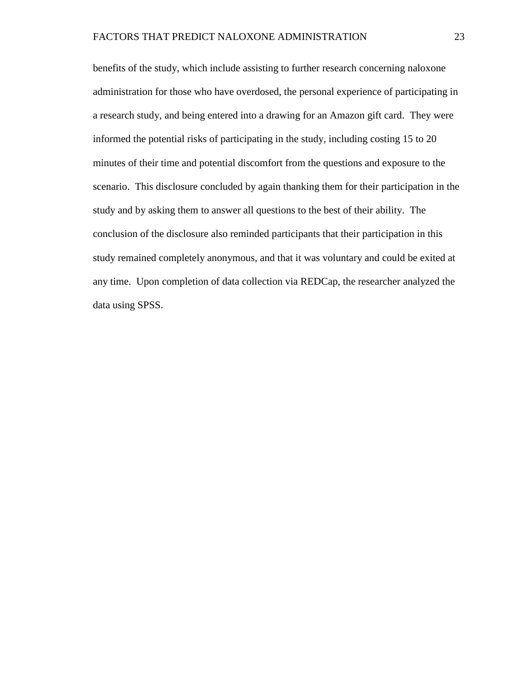<span id="page-29-0"></span>benefits of the study, which include assisting to further research concerning naloxone administration for those who have overdosed, the personal experience of participating in a research study, and being entered into a drawing for an Amazon gift card. They were informed the potential risks of participating in the study, including costing 15 to 20 minutes of their time and potential discomfort from the questions and exposure to the scenario. This disclosure concluded by again thanking them for their participation in the study and by asking them to answer all questions to the best of their ability. The conclusion of the disclosure also reminded participants that their participation in this study remained completely anonymous, and that it was voluntary and could be exited at any time. Upon completion of data collection via REDCap, the researcher analyzed the data using SPSS.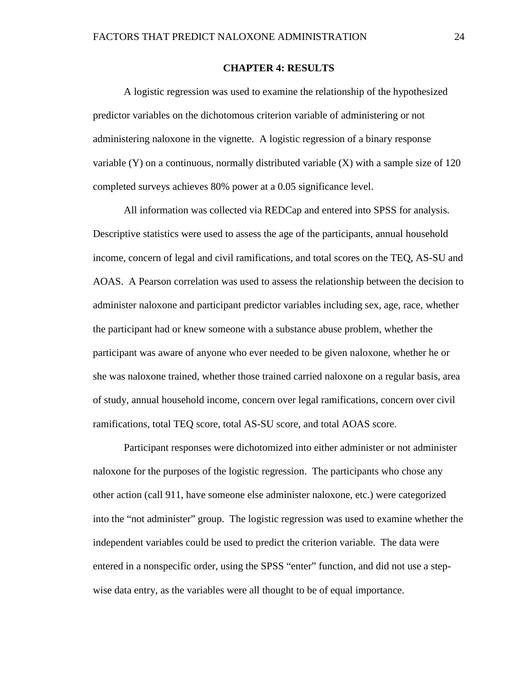#### **CHAPTER 4: RESULTS**

A logistic regression was used to examine the relationship of the hypothesized predictor variables on the dichotomous criterion variable of administering or not administering naloxone in the vignette. A logistic regression of a binary response variable  $(Y)$  on a continuous, normally distributed variable  $(X)$  with a sample size of 120 completed surveys achieves 80% power at a 0.05 significance level.

All information was collected via REDCap and entered into SPSS for analysis. Descriptive statistics were used to assess the age of the participants, annual household income, concern of legal and civil ramifications, and total scores on the TEQ, AS-SU and AOAS. A Pearson correlation was used to assess the relationship between the decision to administer naloxone and participant predictor variables including sex, age, race, whether the participant had or knew someone with a substance abuse problem, whether the participant was aware of anyone who ever needed to be given naloxone, whether he or she was naloxone trained, whether those trained carried naloxone on a regular basis, area of study, annual household income, concern over legal ramifications, concern over civil ramifications, total TEQ score, total AS-SU score, and total AOAS score.

Participant responses were dichotomized into either administer or not administer naloxone for the purposes of the logistic regression. The participants who chose any other action (call 911, have someone else administer naloxone, etc.) were categorized into the "not administer" group. The logistic regression was used to examine whether the independent variables could be used to predict the criterion variable. The data were entered in a nonspecific order, using the SPSS "enter" function, and did not use a stepwise data entry, as the variables were all thought to be of equal importance.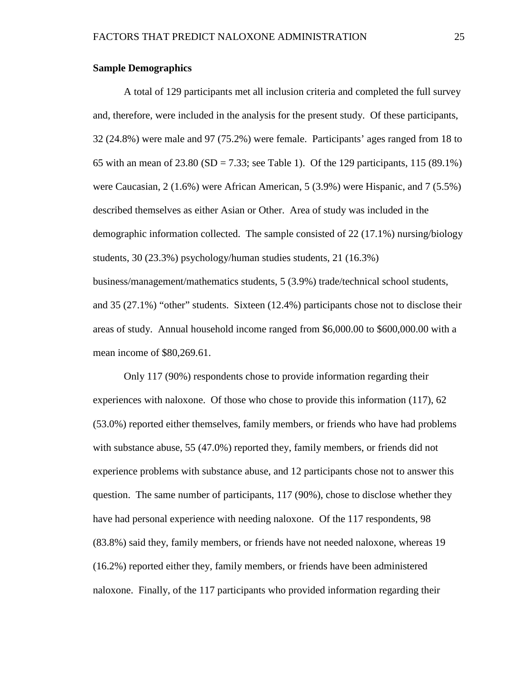#### **Sample Demographics**

A total of 129 participants met all inclusion criteria and completed the full survey and, therefore, were included in the analysis for the present study. Of these participants, 32 (24.8%) were male and 97 (75.2%) were female. Participants' ages ranged from 18 to 65 with an mean of  $23.80$  (SD =  $7.33$ ; see Table 1). Of the 129 participants, 115 (89.1%) were Caucasian, 2 (1.6%) were African American, 5 (3.9%) were Hispanic, and 7 (5.5%) described themselves as either Asian or Other. Area of study was included in the demographic information collected. The sample consisted of 22 (17.1%) nursing/biology students, 30 (23.3%) psychology/human studies students, 21 (16.3%) business/management/mathematics students, 5 (3.9%) trade/technical school students, and 35 (27.1%) "other" students. Sixteen (12.4%) participants chose not to disclose their areas of study. Annual household income ranged from \$6,000.00 to \$600,000.00 with a mean income of \$80,269.61.

Only 117 (90%) respondents chose to provide information regarding their experiences with naloxone. Of those who chose to provide this information (117), 62 (53.0%) reported either themselves, family members, or friends who have had problems with substance abuse, 55 (47.0%) reported they, family members, or friends did not experience problems with substance abuse, and 12 participants chose not to answer this question. The same number of participants, 117 (90%), chose to disclose whether they have had personal experience with needing naloxone. Of the 117 respondents, 98 (83.8%) said they, family members, or friends have not needed naloxone, whereas 19 (16.2%) reported either they, family members, or friends have been administered naloxone. Finally, of the 117 participants who provided information regarding their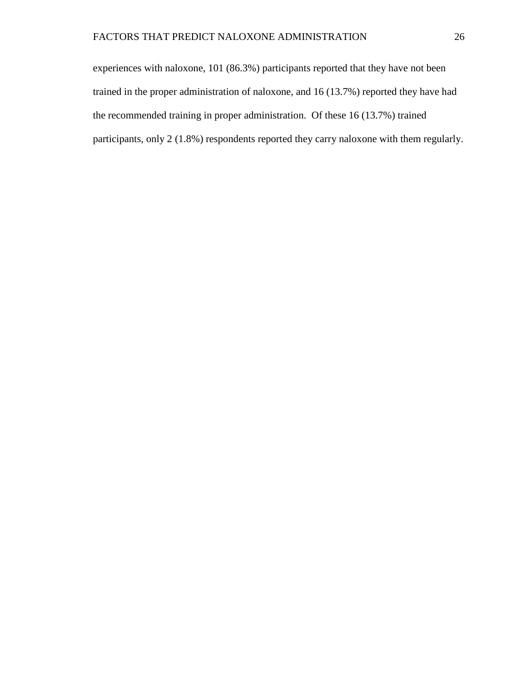experiences with naloxone, 101 (86.3%) participants reported that they have not been trained in the proper administration of naloxone, and 16 (13.7%) reported they have had the recommended training in proper administration. Of these 16 (13.7%) trained participants, only 2 (1.8%) respondents reported they carry naloxone with them regularly.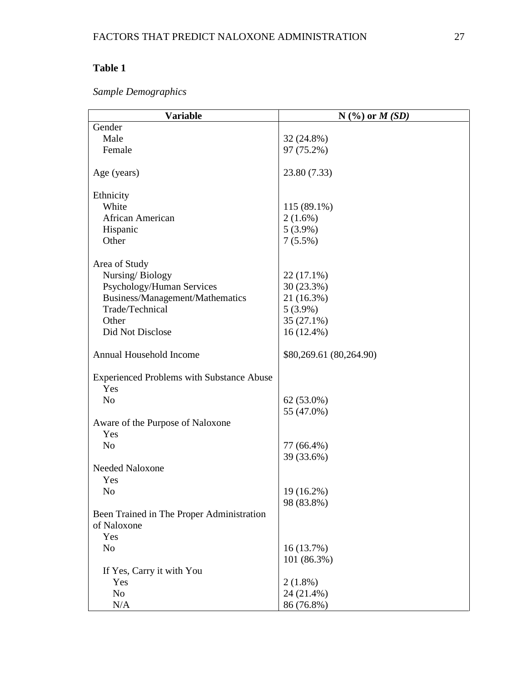## **Table 1**

| Sample Demographics |
|---------------------|
|---------------------|

| <b>Variable</b>                                  | $N$ (%) or $M(SD)$      |
|--------------------------------------------------|-------------------------|
| Gender                                           |                         |
| Male                                             | 32 (24.8%)              |
| Female                                           | 97 (75.2%)              |
| Age (years)                                      | 23.80 (7.33)            |
| Ethnicity                                        |                         |
| White                                            | 115 (89.1%)             |
| African American                                 | $2(1.6\%)$              |
| Hispanic                                         | $5(3.9\%)$              |
| Other                                            | $7(5.5\%)$              |
|                                                  |                         |
| Area of Study                                    |                         |
| Nursing/Biology                                  | $22(17.1\%)$            |
| Psychology/Human Services                        | 30 (23.3%)              |
| Business/Management/Mathematics                  | 21 (16.3%)              |
| Trade/Technical                                  | $5(3.9\%)$              |
| Other                                            | 35 (27.1%)              |
| Did Not Disclose                                 | 16 (12.4%)              |
| Annual Household Income                          | \$80,269.61 (80,264.90) |
| <b>Experienced Problems with Substance Abuse</b> |                         |
| Yes                                              |                         |
| N <sub>o</sub>                                   | $62(53.0\%)$            |
|                                                  | 55 (47.0%)              |
| Aware of the Purpose of Naloxone                 |                         |
| Yes                                              |                         |
| N <sub>o</sub>                                   | 77 (66.4%)              |
|                                                  | 39 (33.6%)              |
| Needed Naloxone                                  |                         |
| Yes                                              |                         |
| No                                               | 19 (16.2%)              |
|                                                  | 98 (83.8%)              |
| Been Trained in The Proper Administration        |                         |
| of Naloxone                                      |                         |
| Yes                                              |                         |
| N <sub>o</sub>                                   | 16(13.7%)               |
|                                                  | 101 (86.3%)             |
| If Yes, Carry it with You                        |                         |
| Yes                                              |                         |
|                                                  | $2(1.8\%)$              |
| N <sub>o</sub>                                   | 24 (21.4%)              |
| N/A                                              | 86 (76.8%)              |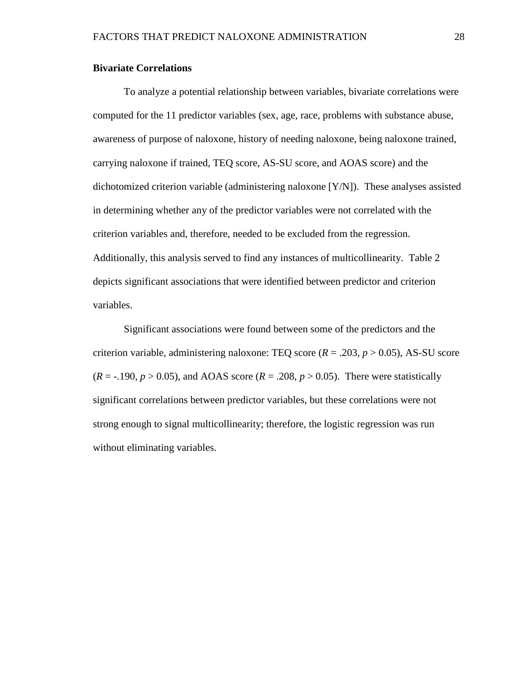#### **Bivariate Correlations**

To analyze a potential relationship between variables, bivariate correlations were computed for the 11 predictor variables (sex, age, race, problems with substance abuse, awareness of purpose of naloxone, history of needing naloxone, being naloxone trained, carrying naloxone if trained, TEQ score, AS-SU score, and AOAS score) and the dichotomized criterion variable (administering naloxone [Y/N]). These analyses assisted in determining whether any of the predictor variables were not correlated with the criterion variables and, therefore, needed to be excluded from the regression. Additionally, this analysis served to find any instances of multicollinearity. Table 2 depicts significant associations that were identified between predictor and criterion variables.

Significant associations were found between some of the predictors and the criterion variable, administering naloxone: TEQ score  $(R = .203, p > 0.05)$ , AS-SU score  $(R = -.190, p > 0.05)$ , and AOAS score  $(R = .208, p > 0.05)$ . There were statistically significant correlations between predictor variables, but these correlations were not strong enough to signal multicollinearity; therefore, the logistic regression was run without eliminating variables.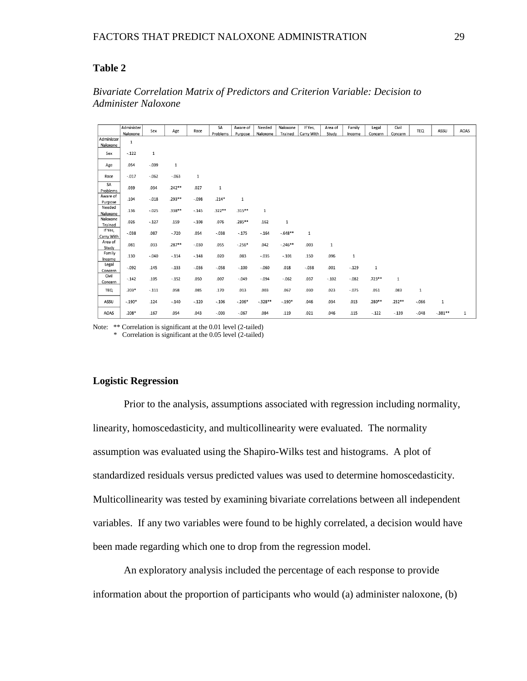#### **Table 2**

|                              | Administer |         |             |             | SA       | Aware of  | Needed   | Naloxone  | If Yes,    | Area of | Family  | Legal    | Civil    |            |           |      |
|------------------------------|------------|---------|-------------|-------------|----------|-----------|----------|-----------|------------|---------|---------|----------|----------|------------|-----------|------|
|                              | Naloxone   | Sex     | Age         | Race        | Problems | Purpose   | Naloxone | Trained   | Carry With | Study   | Income  | Concern  | Concern  | <b>TEQ</b> | ASSU      | AOAS |
| Administer                   | $1\,$      |         |             |             |          |           |          |           |            |         |         |          |          |            |           |      |
| Naloxone                     |            |         |             |             |          |           |          |           |            |         |         |          |          |            |           |      |
| Sex                          | $-.122$    | $\,1$   |             |             |          |           |          |           |            |         |         |          |          |            |           |      |
|                              |            |         |             |             |          |           |          |           |            |         |         |          |          |            |           |      |
| Age                          | .054       | $-.009$ | $\mathbf 1$ |             |          |           |          |           |            |         |         |          |          |            |           |      |
|                              |            |         |             |             |          |           |          |           |            |         |         |          |          |            |           |      |
| Race                         | $-.017$    | $-.062$ | $-.063$     | $\mathbf 1$ |          |           |          |           |            |         |         |          |          |            |           |      |
| SA                           | .039       |         | $.242**$    |             |          |           |          |           |            |         |         |          |          |            |           |      |
| Problems                     |            | .034    |             | .027        | 1        |           |          |           |            |         |         |          |          |            |           |      |
| Aware of                     | .104       | $-.018$ | .293**      | $-.098$     | $.214*$  | $\,1\,$   |          |           |            |         |         |          |          |            |           |      |
| Purpose                      |            |         |             |             |          |           |          |           |            |         |         |          |          |            |           |      |
| Needed                       | .136       | $-.025$ | .338**      | $-.145$     | .322**   | $.315***$ | 1        |           |            |         |         |          |          |            |           |      |
| Naloxone                     |            |         |             |             |          |           |          |           |            |         |         |          |          |            |           |      |
| Naloxone                     | .026       | $-.127$ | .159        | $-.108$     | .076     | $.285***$ | .162     | 1         |            |         |         |          |          |            |           |      |
| Trained<br>If Yes,           |            |         |             |             |          |           |          |           |            |         |         |          |          |            |           |      |
|                              | $-.038$    | .087    | $-.720$     | .054        | $-.038$  | $-.175$   | $-.164$  | $-648**$  | 1          |         |         |          |          |            |           |      |
| <b>Carry With</b><br>Area of |            |         |             |             |          |           |          |           |            |         |         |          |          |            |           |      |
| Study                        | .081       | .033    | $.287**$    | $-.030$     | .055     | $-.256*$  | .042     | $-.246**$ | .003       | 1       |         |          |          |            |           |      |
| Family                       |            |         |             |             |          |           |          |           |            |         |         |          |          |            |           |      |
| Income                       | .130       | $-.040$ | $-.114$     | $-.148$     | .020     | .083      | $-.035$  | $-.101$   | .150       | .096    | 1       |          |          |            |           |      |
| Legal                        |            |         |             |             |          |           |          |           |            |         |         |          |          |            |           |      |
| Concern                      | $-.092$    | .145    | $-.133$     | $-.036$     | $-.058$  | $-.100$   | $-.060$  | .018      | $-.038$    | .001    | $-.129$ | 1        |          |            |           |      |
| Civil                        | $-.142$    | .105    | $-.152$     | .050        | .007     | $-.049$   | $-.094$  | $-.062$   | .037       | $-.102$ | $-.082$ | $.723**$ | 1        |            |           |      |
| Concern                      |            |         |             |             |          |           |          |           |            |         |         |          |          |            |           |      |
| TEQ                          | $.203*$    | $-.111$ | .058        | .085        | .170     | .013      | .003     | .067      | .030       | .023    | $-.075$ | .051     | .083     | 1          |           |      |
|                              |            |         |             |             |          |           |          |           |            |         |         |          |          |            |           |      |
| ASSU                         | $-.190*$   | .124    | $-.140$     | $-.120$     | $-.106$  | $-.206*$  | $-328**$ | $-.190*$  | .046       | .034    | .013    | $.280**$ | $.232**$ | $-0.066$   | 1         |      |
|                              |            |         |             |             |          |           |          |           |            |         |         |          |          |            |           |      |
| AOAS                         | $.208*$    | .167    | .054        | .043        | $-.003$  | $-.067$   | .084     | .119      | .021       | .046    | .115    | $-.122$  | $-139$   | $-.048$    | $-.381**$ | 1    |

#### *Bivariate Correlation Matrix of Predictors and Criterion Variable: Decision to Administer Naloxone*

Note: \*\* Correlation is significant at the 0.01 level (2-tailed)

\* Correlation is significant at the 0.05 level (2-tailed)

#### **Logistic Regression**

Prior to the analysis, assumptions associated with regression including normality, linearity, homoscedasticity, and multicollinearity were evaluated. The normality assumption was evaluated using the Shapiro-Wilks test and histograms. A plot of standardized residuals versus predicted values was used to determine homoscedasticity. Multicollinearity was tested by examining bivariate correlations between all independent variables. If any two variables were found to be highly correlated, a decision would have been made regarding which one to drop from the regression model.

An exploratory analysis included the percentage of each response to provide information about the proportion of participants who would (a) administer naloxone, (b)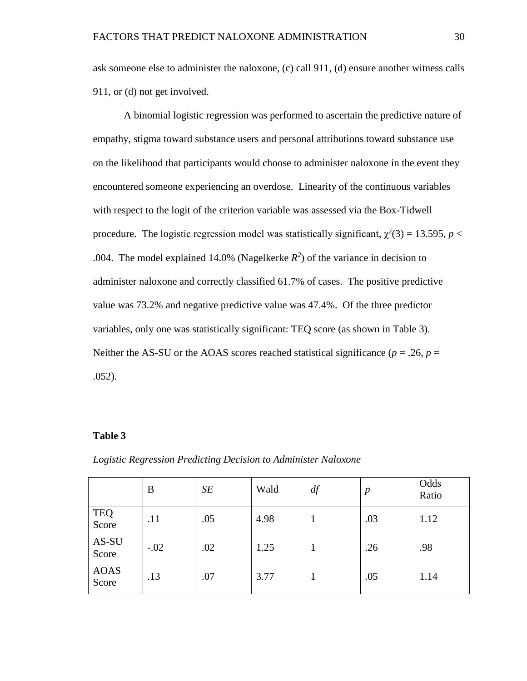ask someone else to administer the naloxone, (c) call 911, (d) ensure another witness calls 911, or (d) not get involved.

A binomial logistic regression was performed to ascertain the predictive nature of empathy, stigma toward substance users and personal attributions toward substance use on the likelihood that participants would choose to administer naloxone in the event they encountered someone experiencing an overdose. Linearity of the continuous variables with respect to the logit of the criterion variable was assessed via the Box-Tidwell procedure. The logistic regression model was statistically significant,  $\chi^2(3) = 13.595$ ,  $p <$ .004. The model explained 14.0% (Nagelkerke  $R^2$ ) of the variance in decision to administer naloxone and correctly classified 61.7% of cases. The positive predictive value was 73.2% and negative predictive value was 47.4%. Of the three predictor variables, only one was statistically significant: TEQ score (as shown in Table 3). Neither the AS-SU or the AOAS scores reached statistical significance ( $p = .26$ ,  $p =$ .052).

#### **Table 3**

#### *Logistic Regression Predicting Decision to Administer Naloxone*

|                      | B      | SE  | Wald | df | $\boldsymbol{p}$ | Odds<br>Ratio |
|----------------------|--------|-----|------|----|------------------|---------------|
| <b>TEQ</b><br>Score  | .11    | .05 | 4.98 |    | .03              | 1.12          |
| AS-SU<br>Score       | $-.02$ | .02 | 1.25 |    | .26              | .98           |
| <b>AOAS</b><br>Score | .13    | .07 | 3.77 |    | .05              | 1.14          |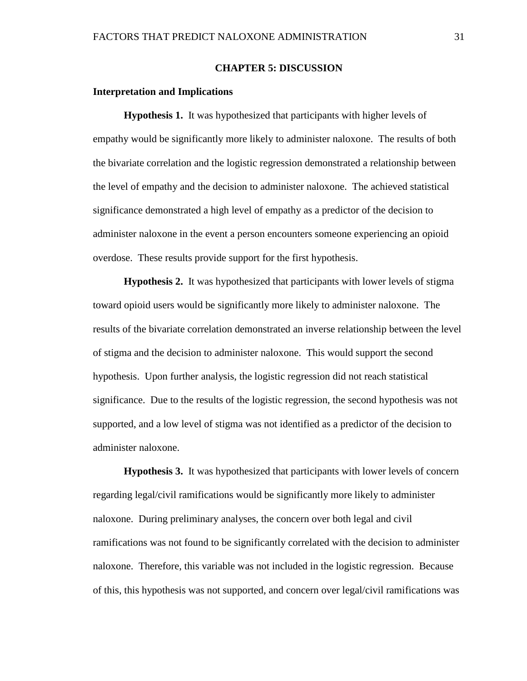#### **CHAPTER 5: DISCUSSION**

#### <span id="page-37-1"></span><span id="page-37-0"></span>**Interpretation and Implications**

**Hypothesis 1.** It was hypothesized that participants with higher levels of empathy would be significantly more likely to administer naloxone. The results of both the bivariate correlation and the logistic regression demonstrated a relationship between the level of empathy and the decision to administer naloxone. The achieved statistical significance demonstrated a high level of empathy as a predictor of the decision to administer naloxone in the event a person encounters someone experiencing an opioid overdose. These results provide support for the first hypothesis.

**Hypothesis 2.** It was hypothesized that participants with lower levels of stigma toward opioid users would be significantly more likely to administer naloxone. The results of the bivariate correlation demonstrated an inverse relationship between the level of stigma and the decision to administer naloxone. This would support the second hypothesis. Upon further analysis, the logistic regression did not reach statistical significance. Due to the results of the logistic regression, the second hypothesis was not supported, and a low level of stigma was not identified as a predictor of the decision to administer naloxone.

**Hypothesis 3.** It was hypothesized that participants with lower levels of concern regarding legal/civil ramifications would be significantly more likely to administer naloxone. During preliminary analyses, the concern over both legal and civil ramifications was not found to be significantly correlated with the decision to administer naloxone. Therefore, this variable was not included in the logistic regression. Because of this, this hypothesis was not supported, and concern over legal/civil ramifications was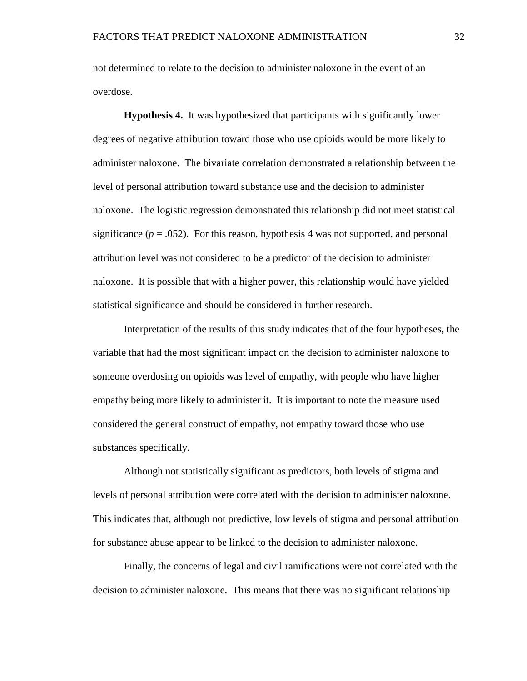not determined to relate to the decision to administer naloxone in the event of an overdose.

**Hypothesis 4.** It was hypothesized that participants with significantly lower degrees of negative attribution toward those who use opioids would be more likely to administer naloxone. The bivariate correlation demonstrated a relationship between the level of personal attribution toward substance use and the decision to administer naloxone. The logistic regression demonstrated this relationship did not meet statistical significance ( $p = .052$ ). For this reason, hypothesis 4 was not supported, and personal attribution level was not considered to be a predictor of the decision to administer naloxone. It is possible that with a higher power, this relationship would have yielded statistical significance and should be considered in further research.

Interpretation of the results of this study indicates that of the four hypotheses, the variable that had the most significant impact on the decision to administer naloxone to someone overdosing on opioids was level of empathy, with people who have higher empathy being more likely to administer it. It is important to note the measure used considered the general construct of empathy, not empathy toward those who use substances specifically.

Although not statistically significant as predictors, both levels of stigma and levels of personal attribution were correlated with the decision to administer naloxone. This indicates that, although not predictive, low levels of stigma and personal attribution for substance abuse appear to be linked to the decision to administer naloxone.

Finally, the concerns of legal and civil ramifications were not correlated with the decision to administer naloxone. This means that there was no significant relationship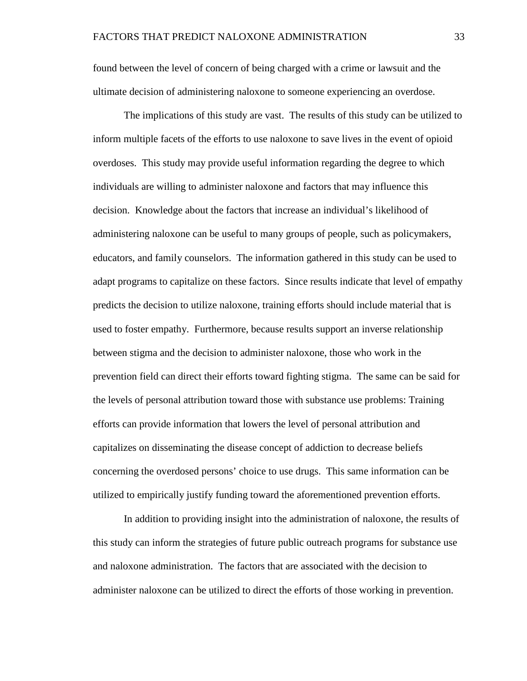found between the level of concern of being charged with a crime or lawsuit and the ultimate decision of administering naloxone to someone experiencing an overdose.

The implications of this study are vast. The results of this study can be utilized to inform multiple facets of the efforts to use naloxone to save lives in the event of opioid overdoses. This study may provide useful information regarding the degree to which individuals are willing to administer naloxone and factors that may influence this decision. Knowledge about the factors that increase an individual's likelihood of administering naloxone can be useful to many groups of people, such as policymakers, educators, and family counselors. The information gathered in this study can be used to adapt programs to capitalize on these factors. Since results indicate that level of empathy predicts the decision to utilize naloxone, training efforts should include material that is used to foster empathy. Furthermore, because results support an inverse relationship between stigma and the decision to administer naloxone, those who work in the prevention field can direct their efforts toward fighting stigma. The same can be said for the levels of personal attribution toward those with substance use problems: Training efforts can provide information that lowers the level of personal attribution and capitalizes on disseminating the disease concept of addiction to decrease beliefs concerning the overdosed persons' choice to use drugs. This same information can be utilized to empirically justify funding toward the aforementioned prevention efforts.

In addition to providing insight into the administration of naloxone, the results of this study can inform the strategies of future public outreach programs for substance use and naloxone administration. The factors that are associated with the decision to administer naloxone can be utilized to direct the efforts of those working in prevention.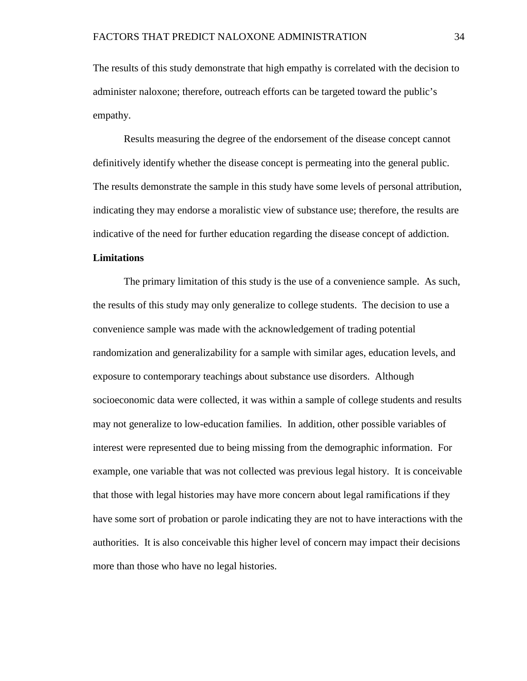The results of this study demonstrate that high empathy is correlated with the decision to administer naloxone; therefore, outreach efforts can be targeted toward the public's empathy.

Results measuring the degree of the endorsement of the disease concept cannot definitively identify whether the disease concept is permeating into the general public. The results demonstrate the sample in this study have some levels of personal attribution, indicating they may endorse a moralistic view of substance use; therefore, the results are indicative of the need for further education regarding the disease concept of addiction.

#### <span id="page-40-0"></span>**Limitations**

The primary limitation of this study is the use of a convenience sample. As such, the results of this study may only generalize to college students. The decision to use a convenience sample was made with the acknowledgement of trading potential randomization and generalizability for a sample with similar ages, education levels, and exposure to contemporary teachings about substance use disorders. Although socioeconomic data were collected, it was within a sample of college students and results may not generalize to low-education families. In addition, other possible variables of interest were represented due to being missing from the demographic information. For example, one variable that was not collected was previous legal history. It is conceivable that those with legal histories may have more concern about legal ramifications if they have some sort of probation or parole indicating they are not to have interactions with the authorities. It is also conceivable this higher level of concern may impact their decisions more than those who have no legal histories.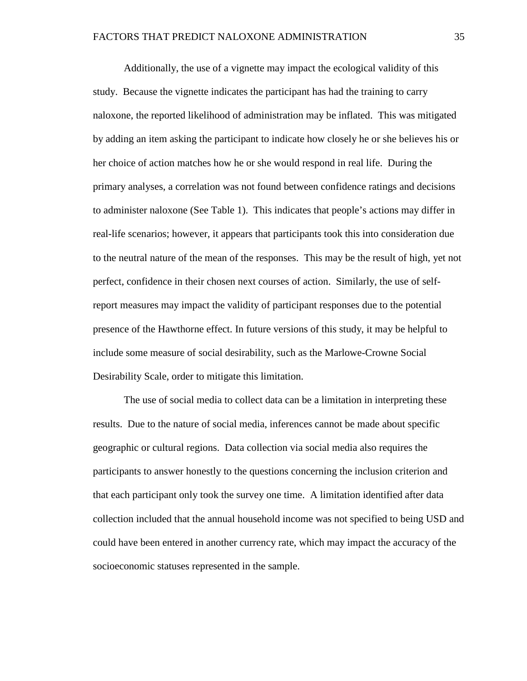Additionally, the use of a vignette may impact the ecological validity of this study. Because the vignette indicates the participant has had the training to carry naloxone, the reported likelihood of administration may be inflated. This was mitigated by adding an item asking the participant to indicate how closely he or she believes his or her choice of action matches how he or she would respond in real life. During the primary analyses, a correlation was not found between confidence ratings and decisions to administer naloxone (See Table 1). This indicates that people's actions may differ in real-life scenarios; however, it appears that participants took this into consideration due to the neutral nature of the mean of the responses. This may be the result of high, yet not perfect, confidence in their chosen next courses of action. Similarly, the use of selfreport measures may impact the validity of participant responses due to the potential presence of the Hawthorne effect. In future versions of this study, it may be helpful to include some measure of social desirability, such as the Marlowe-Crowne Social Desirability Scale, order to mitigate this limitation.

The use of social media to collect data can be a limitation in interpreting these results. Due to the nature of social media, inferences cannot be made about specific geographic or cultural regions. Data collection via social media also requires the participants to answer honestly to the questions concerning the inclusion criterion and that each participant only took the survey one time. A limitation identified after data collection included that the annual household income was not specified to being USD and could have been entered in another currency rate, which may impact the accuracy of the socioeconomic statuses represented in the sample.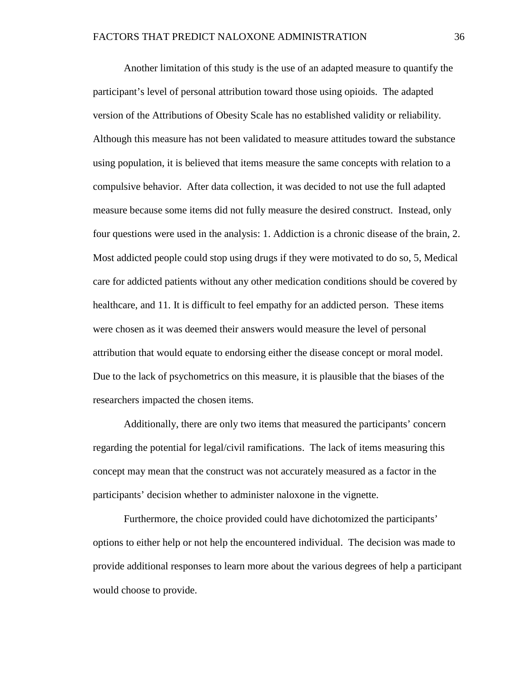Another limitation of this study is the use of an adapted measure to quantify the participant's level of personal attribution toward those using opioids. The adapted version of the Attributions of Obesity Scale has no established validity or reliability. Although this measure has not been validated to measure attitudes toward the substance using population, it is believed that items measure the same concepts with relation to a compulsive behavior. After data collection, it was decided to not use the full adapted measure because some items did not fully measure the desired construct. Instead, only four questions were used in the analysis: 1. Addiction is a chronic disease of the brain, 2. Most addicted people could stop using drugs if they were motivated to do so, 5, Medical care for addicted patients without any other medication conditions should be covered by healthcare, and 11. It is difficult to feel empathy for an addicted person. These items were chosen as it was deemed their answers would measure the level of personal attribution that would equate to endorsing either the disease concept or moral model. Due to the lack of psychometrics on this measure, it is plausible that the biases of the researchers impacted the chosen items.

Additionally, there are only two items that measured the participants' concern regarding the potential for legal/civil ramifications. The lack of items measuring this concept may mean that the construct was not accurately measured as a factor in the participants' decision whether to administer naloxone in the vignette.

Furthermore, the choice provided could have dichotomized the participants' options to either help or not help the encountered individual. The decision was made to provide additional responses to learn more about the various degrees of help a participant would choose to provide.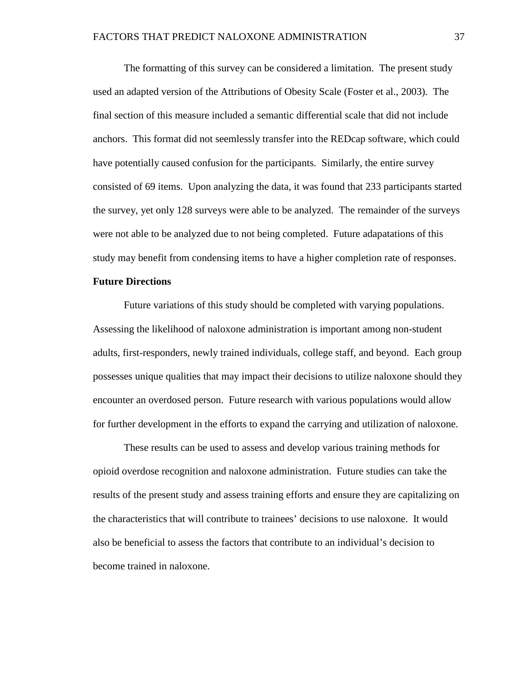The formatting of this survey can be considered a limitation. The present study used an adapted version of the Attributions of Obesity Scale (Foster et al., 2003). The final section of this measure included a semantic differential scale that did not include anchors. This format did not seemlessly transfer into the REDcap software, which could have potentially caused confusion for the participants. Similarly, the entire survey consisted of 69 items. Upon analyzing the data, it was found that 233 participants started the survey, yet only 128 surveys were able to be analyzed. The remainder of the surveys were not able to be analyzed due to not being completed. Future adapatations of this study may benefit from condensing items to have a higher completion rate of responses.

#### <span id="page-43-0"></span>**Future Directions**

Future variations of this study should be completed with varying populations. Assessing the likelihood of naloxone administration is important among non-student adults, first-responders, newly trained individuals, college staff, and beyond. Each group possesses unique qualities that may impact their decisions to utilize naloxone should they encounter an overdosed person. Future research with various populations would allow for further development in the efforts to expand the carrying and utilization of naloxone.

These results can be used to assess and develop various training methods for opioid overdose recognition and naloxone administration. Future studies can take the results of the present study and assess training efforts and ensure they are capitalizing on the characteristics that will contribute to trainees' decisions to use naloxone. It would also be beneficial to assess the factors that contribute to an individual's decision to become trained in naloxone.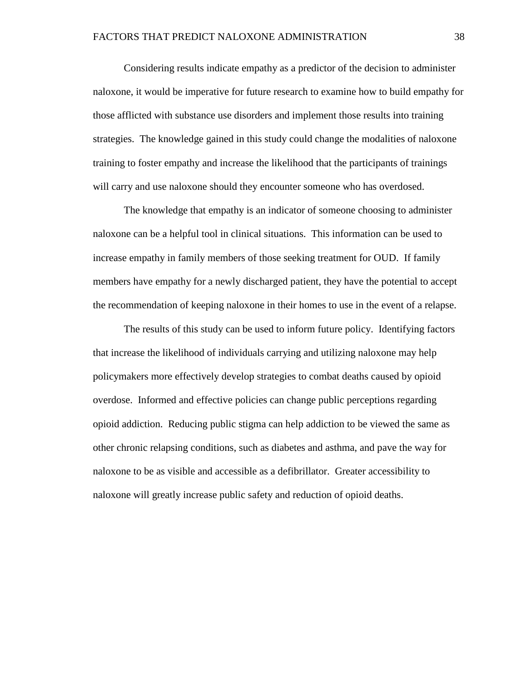Considering results indicate empathy as a predictor of the decision to administer naloxone, it would be imperative for future research to examine how to build empathy for those afflicted with substance use disorders and implement those results into training strategies. The knowledge gained in this study could change the modalities of naloxone training to foster empathy and increase the likelihood that the participants of trainings will carry and use naloxone should they encounter someone who has overdosed.

The knowledge that empathy is an indicator of someone choosing to administer naloxone can be a helpful tool in clinical situations. This information can be used to increase empathy in family members of those seeking treatment for OUD. If family members have empathy for a newly discharged patient, they have the potential to accept the recommendation of keeping naloxone in their homes to use in the event of a relapse.

The results of this study can be used to inform future policy. Identifying factors that increase the likelihood of individuals carrying and utilizing naloxone may help policymakers more effectively develop strategies to combat deaths caused by opioid overdose. Informed and effective policies can change public perceptions regarding opioid addiction. Reducing public stigma can help addiction to be viewed the same as other chronic relapsing conditions, such as diabetes and asthma, and pave the way for naloxone to be as visible and accessible as a defibrillator. Greater accessibility to naloxone will greatly increase public safety and reduction of opioid deaths.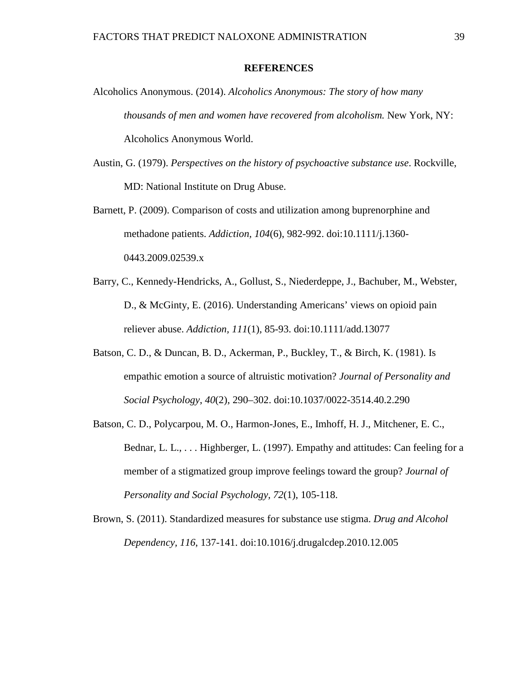#### **REFERENCES**

- Alcoholics Anonymous. (2014). *Alcoholics Anonymous: The story of how many thousands of men and women have recovered from alcoholism.* New York, NY: Alcoholics Anonymous World.
- Austin, G. (1979). *Perspectives on the history of psychoactive substance use*. Rockville, MD: National Institute on Drug Abuse.
- Barnett, P. (2009). Comparison of costs and utilization among buprenorphine and methadone patients. *Addiction, 104*(6), 982-992. doi:10.1111/j.1360- 0443.2009.02539.x
- Barry, C., Kennedy-Hendricks, A., Gollust, S., Niederdeppe, J., Bachuber, M., Webster, D., & McGinty, E. (2016). Understanding Americans' views on opioid pain reliever abuse. *Addiction, 111*(1)*,* 85-93. doi:10.1111/add.13077
- Batson, C. D., & Duncan, B. D., Ackerman, P., Buckley, T., & Birch, K. (1981). Is empathic emotion a source of altruistic motivation? *Journal of Personality and Social Psychology*, *40*(2), 290–302. doi:10.1037/0022-3514.40.2.290
- Batson, C. D., Polycarpou, M. O., Harmon-Jones, E., Imhoff, H. J., Mitchener, E. C., Bednar, L. L., ... Highberger, L. (1997). Empathy and attitudes: Can feeling for a member of a stigmatized group improve feelings toward the group? *Journal of Personality and Social Psychology, 72*(1), 105-118.
- Brown, S. (2011). Standardized measures for substance use stigma. *Drug and Alcohol Dependency, 116*, 137-141. doi:10.1016/j.drugalcdep.2010.12.005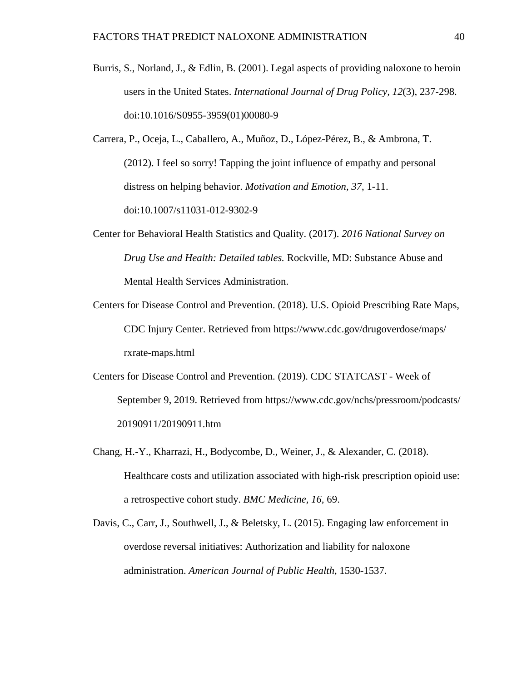- Burris, S., Norland, J., & Edlin, B. (2001). Legal aspects of providing naloxone to heroin users in the United States. *International Journal of Drug Policy, 12*(3), 237-298. doi:10.1016/S0955-3959(01)00080-9
- Carrera, P., Oceja, L., Caballero, A., Muñoz, D., López-Pérez, B., & Ambrona, T. (2012). I feel so sorry! Tapping the joint influence of empathy and personal distress on helping behavior. *Motivation and Emotion, 37*, 1-11. doi:10.1007/s11031-012-9302-9
- Center for Behavioral Health Statistics and Quality. (2017). *2016 National Survey on Drug Use and Health: Detailed tables.* Rockville, MD: Substance Abuse and Mental Health Services Administration.
- Centers for Disease Control and Prevention. (2018). U.S. Opioid Prescribing Rate Maps, CDC Injury Center. Retrieved from https://www.cdc.gov/drugoverdose/maps/ rxrate-maps.html
- Centers for Disease Control and Prevention. (2019). CDC STATCAST Week of September 9, 2019. Retrieved from https://www.cdc.gov/nchs/pressroom/podcasts/ 20190911/20190911.htm
- Chang, H.-Y., Kharrazi, H., Bodycombe, D., Weiner, J., & Alexander, C. (2018). Healthcare costs and utilization associated with high-risk prescription opioid use: a retrospective cohort study. *BMC Medicine, 16,* 69.
- Davis, C., Carr, J., Southwell, J., & Beletsky, L. (2015). Engaging law enforcement in overdose reversal initiatives: Authorization and liability for naloxone administration. *American Journal of Public Health*, 1530-1537.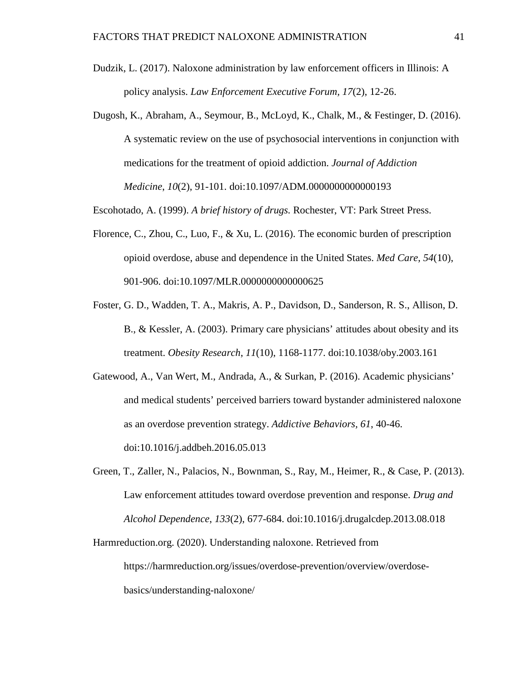- Dudzik, L. (2017). Naloxone administration by law enforcement officers in Illinois: A policy analysis. *Law Enforcement Executive Forum, 17*(2), 12-26.
- Dugosh, K., Abraham, A., Seymour, B., McLoyd, K., Chalk, M., & Festinger, D. (2016). A systematic review on the use of psychosocial interventions in conjunction with medications for the treatment of opioid addiction. *Journal of Addiction Medicine*, *10*(2), 91-101. doi:10.1097/ADM.0000000000000193
- Escohotado, A. (1999). *A brief history of drugs.* Rochester, VT: Park Street Press.
- Florence, C., Zhou, C., Luo, F., & Xu, L. (2016). The economic burden of prescription opioid overdose, abuse and dependence in the United States. *Med Care, 54*(10), 901-906. doi:10.1097/MLR.0000000000000625
- Foster, G. D., Wadden, T. A., Makris, A. P., Davidson, D., Sanderson, R. S., Allison, D. B., & Kessler, A. (2003). Primary care physicians' attitudes about obesity and its treatment. *Obesity Research*, *11*(10), 1168-1177. doi:10.1038/oby.2003.161
- Gatewood, A., Van Wert, M., Andrada, A., & Surkan, P. (2016). Academic physicians' and medical students' perceived barriers toward bystander administered naloxone as an overdose prevention strategy. *Addictive Behaviors, 61*, 40-46. doi:10.1016/j.addbeh.2016.05.013
- Green, T., Zaller, N., Palacios, N., Bownman, S., Ray, M., Heimer, R., & Case, P. (2013). Law enforcement attitudes toward overdose prevention and response. *Drug and Alcohol Dependence*, *133*(2), 677-684. doi:10.1016/j.drugalcdep.2013.08.018
- Harmreduction.org. (2020). Understanding naloxone. Retrieved from https://harmreduction.org/issues/overdose-prevention/overview/overdosebasics/understanding-naloxone/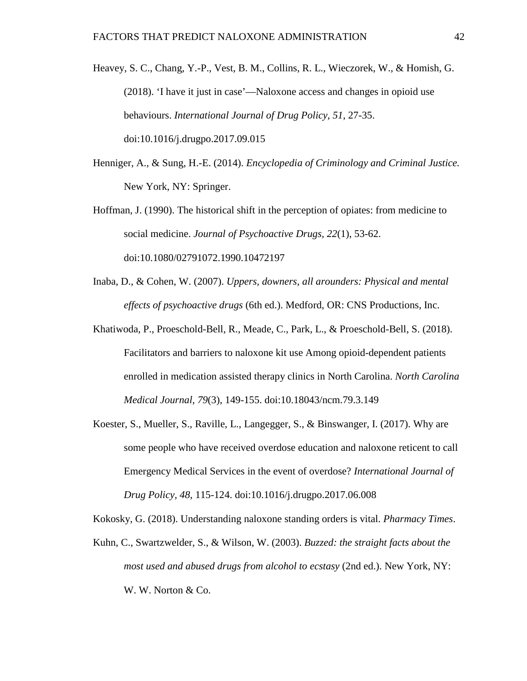Heavey, S. C., Chang, Y.-P., Vest, B. M., Collins, R. L., Wieczorek, W., & Homish, G. (2018). 'I have it just in case'—Naloxone access and changes in opioid use behaviours. *International Journal of Drug Policy, 51*, 27-35. doi:10.1016/j.drugpo.2017.09.015

- Henniger, A., & Sung, H.-E. (2014). *Encyclopedia of Criminology and Criminal Justice.* New York, NY: Springer.
- Hoffman, J. (1990). The historical shift in the perception of opiates: from medicine to social medicine. *Journal of Psychoactive Drugs, 22*(1), 53-62. doi:10.1080/02791072.1990.10472197
- Inaba, D., & Cohen, W. (2007). *Uppers, downers, all arounders: Physical and mental effects of psychoactive drugs* (6th ed.). Medford, OR: CNS Productions, Inc.
- Khatiwoda, P., Proeschold-Bell, R., Meade, C., Park, L., & Proeschold-Bell, S. (2018). Facilitators and barriers to naloxone kit use Among opioid-dependent patients enrolled in medication assisted therapy clinics in North Carolina. *North Carolina Medical Journal, 79*(3), 149-155. doi:10.18043/ncm.79.3.149
- Koester, S., Mueller, S., Raville, L., Langegger, S., & Binswanger, I. (2017). Why are some people who have received overdose education and naloxone reticent to call Emergency Medical Services in the event of overdose? *International Journal of Drug Policy, 48*, 115-124. doi:10.1016/j.drugpo.2017.06.008

Kokosky, G. (2018). Understanding naloxone standing orders is vital. *Pharmacy Times*.

Kuhn, C., Swartzwelder, S., & Wilson, W. (2003). *Buzzed: the straight facts about the most used and abused drugs from alcohol to ecstasy* (2nd ed.). New York, NY: W. W. Norton & Co.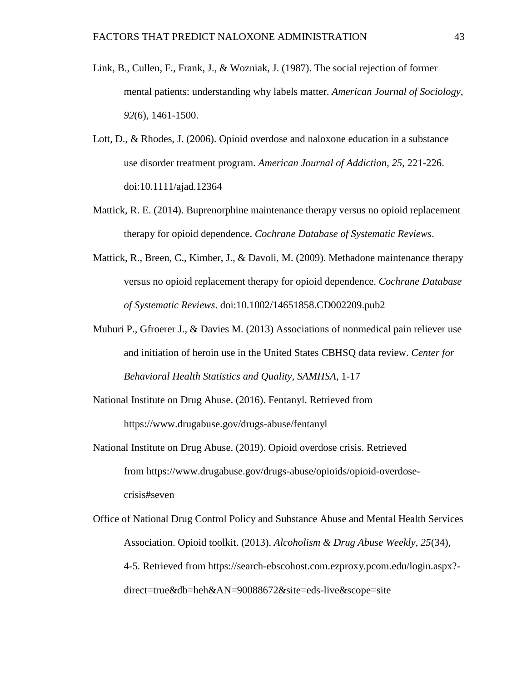- Link, B., Cullen, F., Frank, J., & Wozniak, J. (1987). The social rejection of former mental patients: understanding why labels matter. *American Journal of Sociology, 92*(6), 1461-1500.
- Lott, D., & Rhodes, J. (2006). Opioid overdose and naloxone education in a substance use disorder treatment program. *American Journal of Addiction, 25*, 221-226. doi:10.1111/ajad.12364
- Mattick, R. E. (2014). Buprenorphine maintenance therapy versus no opioid replacement therapy for opioid dependence. *Cochrane Database of Systematic Reviews*.
- Mattick, R., Breen, C., Kimber, J., & Davoli, M. (2009). Methadone maintenance therapy versus no opioid replacement therapy for opioid dependence. *Cochrane Database of Systematic Reviews*. doi:10.1002/14651858.CD002209.pub2
- Muhuri P., Gfroerer J., & Davies M. (2013) Associations of nonmedical pain reliever use and initiation of heroin use in the United States CBHSQ data review. *Center for Behavioral Health Statistics and Quality, SAMHSA*, 1-17
- National Institute on Drug Abuse. (2016). Fentanyl. Retrieved from https://www.drugabuse.gov/drugs-abuse/fentanyl
- National Institute on Drug Abuse. (2019). Opioid overdose crisis. Retrieved from https://www.drugabuse.gov/drugs-abuse/opioids/opioid-overdosecrisis#seven
- Office of National Drug Control Policy and Substance Abuse and Mental Health Services Association. Opioid toolkit. (2013). *Alcoholism & Drug Abuse Weekly, 25*(34), 4-5. Retrieved from https://search-ebscohost.com.ezproxy.pcom.edu/login.aspx? direct=true&db=heh&AN=90088672&site=eds-live&scope=site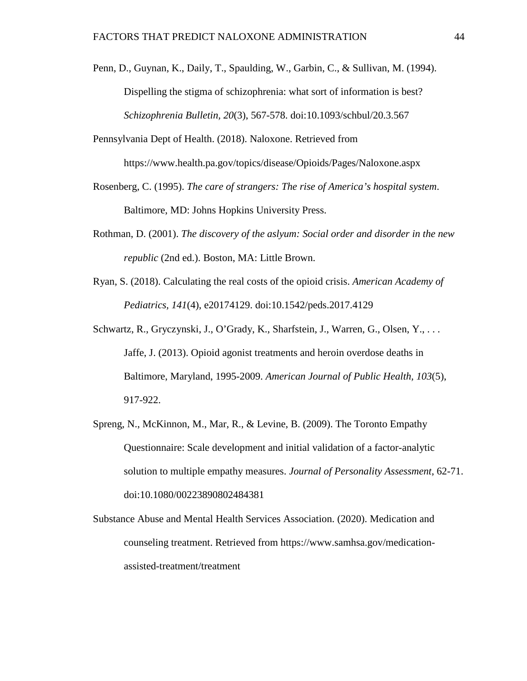- Penn, D., Guynan, K., Daily, T., Spaulding, W., Garbin, C., & Sullivan, M. (1994). Dispelling the stigma of schizophrenia: what sort of information is best? *Schizophrenia Bulletin, 20*(3), 567-578. doi:10.1093/schbul/20.3.567
- Pennsylvania Dept of Health. (2018). Naloxone. Retrieved from https://www.health.pa.gov/topics/disease/Opioids/Pages/Naloxone.aspx
- Rosenberg, C. (1995). *The care of strangers: The rise of America's hospital system*. Baltimore, MD: Johns Hopkins University Press.
- Rothman, D. (2001). *The discovery of the aslyum: Social order and disorder in the new republic* (2nd ed.). Boston, MA: Little Brown.
- Ryan, S. (2018). Calculating the real costs of the opioid crisis. *American Academy of Pediatrics, 141*(4), e20174129. doi:10.1542/peds.2017.4129
- Schwartz, R., Gryczynski, J., O'Grady, K., Sharfstein, J., Warren, G., Olsen, Y., . . . Jaffe, J. (2013). Opioid agonist treatments and heroin overdose deaths in Baltimore, Maryland, 1995-2009. *American Journal of Public Health, 103*(5), 917-922.
- Spreng, N., McKinnon, M., Mar, R., & Levine, B. (2009). The Toronto Empathy Questionnaire: Scale development and initial validation of a factor-analytic solution to multiple empathy measures. *Journal of Personality Assessment*, 62-71. doi:10.1080/00223890802484381
- Substance Abuse and Mental Health Services Association. (2020). Medication and counseling treatment. Retrieved from https://www.samhsa.gov/medicationassisted-treatment/treatment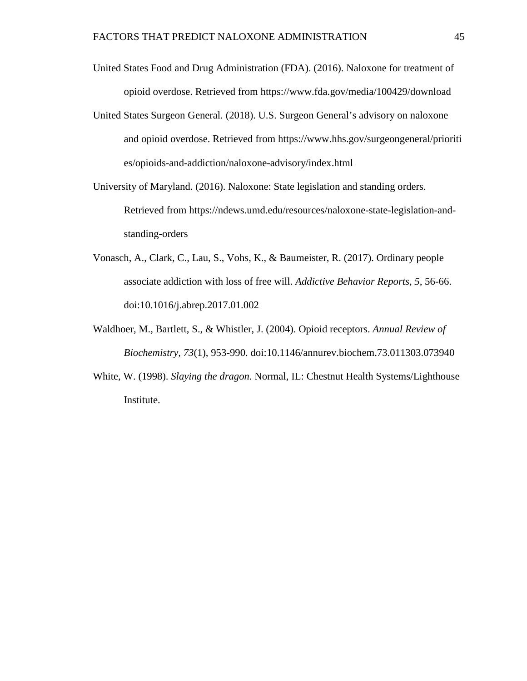- United States Food and Drug Administration (FDA). (2016). Naloxone for treatment of opioid overdose. Retrieved from https://www.fda.gov/media/100429/download
- United States Surgeon General. (2018). U.S. Surgeon General's advisory on naloxone and opioid overdose. Retrieved from https://www.hhs.gov/surgeongeneral/prioriti es/opioids-and-addiction/naloxone-advisory/index.html
- University of Maryland. (2016). Naloxone: State legislation and standing orders. Retrieved from https://ndews.umd.edu/resources/naloxone-state-legislation-andstanding-orders
- Vonasch, A., Clark, C., Lau, S., Vohs, K., & Baumeister, R. (2017). Ordinary people associate addiction with loss of free will. *Addictive Behavior Reports*, *5,* 56-66. doi:10.1016/j.abrep.2017.01.002
- Waldhoer, M., Bartlett, S., & Whistler, J. (2004). Opioid receptors. *Annual Review of Biochemistry, 73*(1), 953-990. doi:10.1146/annurev.biochem.73.011303.073940
- White, W. (1998). *Slaying the dragon.* Normal, IL: Chestnut Health Systems/Lighthouse Institute.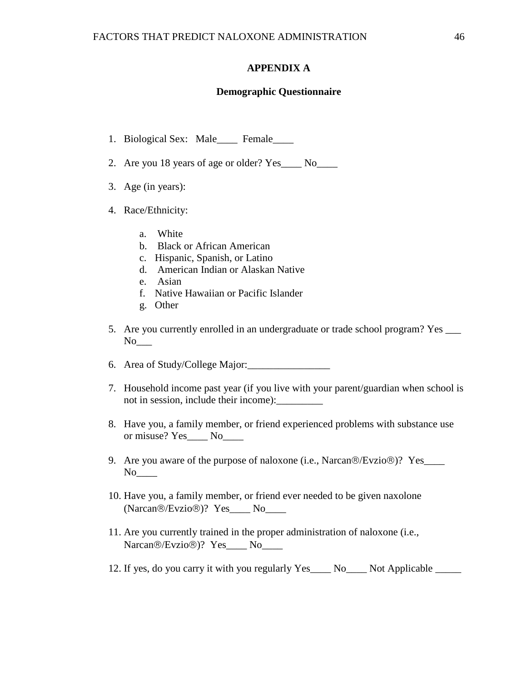#### **APPENDIX A**

#### **Demographic Questionnaire**

- <span id="page-52-0"></span>1. Biological Sex: Male\_\_\_\_ Female\_\_\_\_
- 2. Are you 18 years of age or older? Yes \_\_\_\_ No\_\_\_\_
- 3. Age (in years):
- 4. Race/Ethnicity:
	- a. White
	- b. Black or African American
	- c. Hispanic, Spanish, or Latino
	- d. American Indian or Alaskan Native
	- e. Asian
	- f. Native Hawaiian or Pacific Islander
	- g. Other
- 5. Are you currently enrolled in an undergraduate or trade school program? Yes \_\_\_\_\_  $No$ <sub>\_\_\_</sub>
- 6. Area of Study/College Major:\_\_\_\_\_\_\_\_\_\_\_\_\_\_\_\_
- 7. Household income past year (if you live with your parent/guardian when school is not in session, include their income):\_\_\_\_\_\_\_\_\_
- 8. Have you, a family member, or friend experienced problems with substance use or misuse? Yes\_\_\_\_ No\_\_\_\_
- 9. Are you aware of the purpose of naloxone (i.e., Narcan $\circledR$ Evzio $\circledR$ )? Yes\_\_\_\_\_  $No$
- 10. Have you, a family member, or friend ever needed to be given naxolone  $(Narcan@/Evzio@)?$   $Yes$  No
- 11. Are you currently trained in the proper administration of naloxone (i.e., Narcan®/Evzio®)? Yes No
- 12. If yes, do you carry it with you regularly Yes No. Not Applicable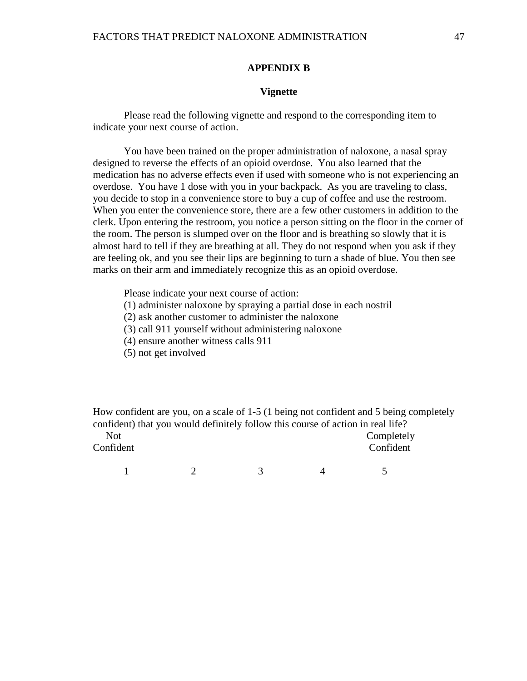#### **APPENDIX B**

#### **Vignette**

Please read the following vignette and respond to the corresponding item to indicate your next course of action.

You have been trained on the proper administration of naloxone, a nasal spray designed to reverse the effects of an opioid overdose. You also learned that the medication has no adverse effects even if used with someone who is not experiencing an overdose. You have 1 dose with you in your backpack. As you are traveling to class, you decide to stop in a convenience store to buy a cup of coffee and use the restroom. When you enter the convenience store, there are a few other customers in addition to the clerk. Upon entering the restroom, you notice a person sitting on the floor in the corner of the room. The person is slumped over on the floor and is breathing so slowly that it is almost hard to tell if they are breathing at all. They do not respond when you ask if they are feeling ok, and you see their lips are beginning to turn a shade of blue. You then see marks on their arm and immediately recognize this as an opioid overdose.

Please indicate your next course of action:

(1) administer naloxone by spraying a partial dose in each nostril

(2) ask another customer to administer the naloxone

(3) call 911 yourself without administering naloxone

- (4) ensure another witness calls 911
- (5) not get involved

How confident are you, on a scale of 1-5 (1 being not confident and 5 being completely confident) that you would definitely follow this course of action in real life? Not Completely

Confident Confident

 $1 \t 2 \t 3 \t 4 \t 5$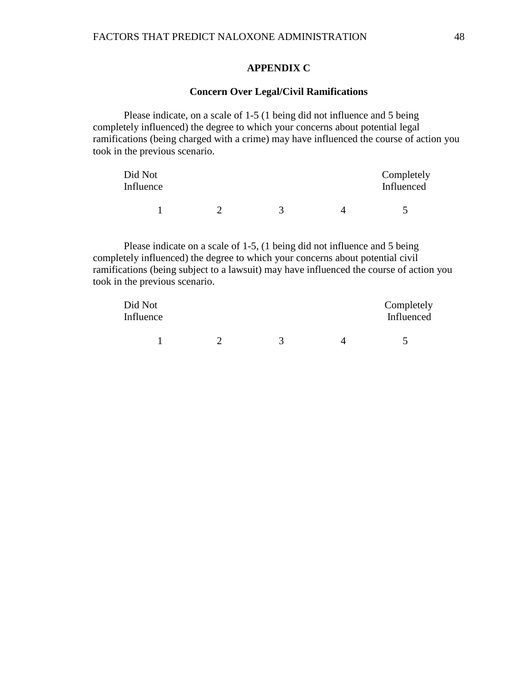#### **APPENDIX C**

#### **Concern Over Legal/Civil Ramifications**

Please indicate, on a scale of 1-5 (1 being did not influence and 5 being completely influenced) the degree to which your concerns about potential legal ramifications (being charged with a crime) may have influenced the course of action you took in the previous scenario.

| Did Not<br>Influence |  | Completely<br>Influenced |
|----------------------|--|--------------------------|
|                      |  |                          |

Please indicate on a scale of 1-5, (1 being did not influence and 5 being completely influenced) the degree to which your concerns about potential civil ramifications (being subject to a lawsuit) may have influenced the course of action you took in the previous scenario.

| Did Not<br>Influence |  | Completely<br>Influenced |
|----------------------|--|--------------------------|
|                      |  |                          |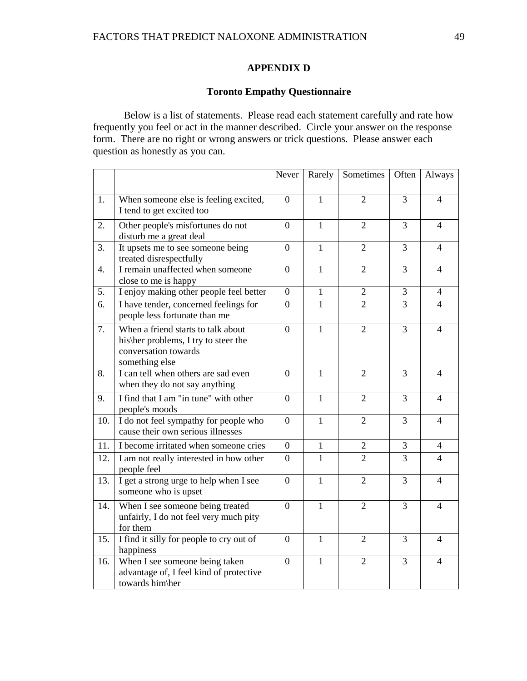### **APPENDIX D**

#### **Toronto Empathy Questionnaire**

Below is a list of statements. Please read each statement carefully and rate how frequently you feel or act in the manner described. Circle your answer on the response form. There are no right or wrong answers or trick questions. Please answer each question as honestly as you can.

|                  |                                                                                                                      | Never            | Rarely       | Sometimes      | Often          | Always                   |
|------------------|----------------------------------------------------------------------------------------------------------------------|------------------|--------------|----------------|----------------|--------------------------|
| 1.               | When someone else is feeling excited,<br>I tend to get excited too                                                   | $\Omega$         | 1            | $\overline{2}$ | 3              | 4                        |
| 2.               | Other people's misfortunes do not<br>disturb me a great deal                                                         | $\overline{0}$   | $\mathbf{1}$ | $\overline{2}$ | 3              | $\overline{\mathcal{L}}$ |
| 3.               | It upsets me to see someone being<br>treated disrespectfully                                                         | $\overline{0}$   | $\mathbf{1}$ | $\overline{2}$ | $\overline{3}$ | $\overline{4}$           |
| 4.               | I remain unaffected when someone<br>close to me is happy                                                             | $\overline{0}$   | $\mathbf{1}$ | $\overline{2}$ | 3              | 4                        |
| $\overline{5}$ . | I enjoy making other people feel better                                                                              | $\overline{0}$   | $\mathbf{1}$ | $\overline{2}$ | $\overline{3}$ | $\overline{4}$           |
| 6.               | I have tender, concerned feelings for<br>people less fortunate than me                                               | $\boldsymbol{0}$ | $\mathbf{1}$ | $\overline{2}$ | $\overline{3}$ | $\overline{4}$           |
| 7.               | When a friend starts to talk about<br>his\her problems, I try to steer the<br>conversation towards<br>something else | $\overline{0}$   | $\mathbf{1}$ | $\overline{2}$ | $\overline{3}$ | $\overline{4}$           |
| 8.               | I can tell when others are sad even<br>when they do not say anything                                                 | $\overline{0}$   | $\mathbf{1}$ | $\overline{2}$ | 3              | 4                        |
| 9.               | I find that I am "in tune" with other<br>people's moods                                                              | $\overline{0}$   | $\mathbf{1}$ | $\overline{2}$ | 3              | 4                        |
| 10.              | I do not feel sympathy for people who<br>cause their own serious illnesses                                           | $\overline{0}$   | $\mathbf{1}$ | $\overline{2}$ | 3              | $\overline{\mathcal{L}}$ |
| 11.              | I become irritated when someone cries                                                                                | 0                | 1            | $\mathbf{2}$   | 3              | $\overline{4}$           |
| 12.              | I am not really interested in how other<br>people feel                                                               | $\overline{0}$   | 1            | $\overline{2}$ | $\overline{3}$ | $\overline{\mathcal{L}}$ |
| 13.              | I get a strong urge to help when I see<br>someone who is upset                                                       | $\overline{0}$   | $\mathbf{1}$ | $\overline{2}$ | 3              | $\overline{4}$           |
| 14.              | When I see someone being treated<br>unfairly, I do not feel very much pity<br>for them                               | $\overline{0}$   | $\mathbf{1}$ | $\overline{2}$ | 3              | 4                        |
| 15.              | I find it silly for people to cry out of<br>happiness                                                                | $\theta$         | $\mathbf{1}$ | $\overline{2}$ | 3              | 4                        |
| 16.              | When I see someone being taken<br>advantage of, I feel kind of protective<br>towards him\her                         | $\boldsymbol{0}$ | $\mathbf{1}$ | $\overline{2}$ | 3              | 4                        |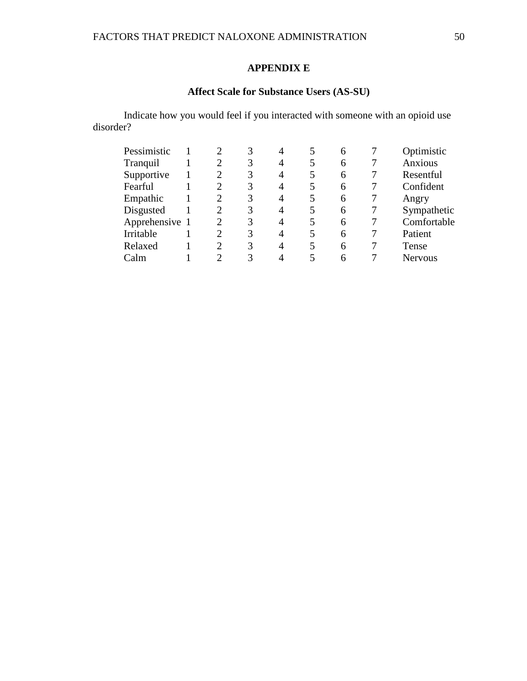## **APPENDIX E**

# **Affect Scale for Substance Users (AS-SU)**

Indicate how you would feel if you interacted with someone with an opioid use disorder?

| Pessimistic    |                             |   | 4 |   | 6 | Optimistic     |
|----------------|-----------------------------|---|---|---|---|----------------|
| Tranquil       | $\overline{2}$              | 3 | 4 | 5 | 6 | Anxious        |
| Supportive     | $\mathcal{D}_{\mathcal{L}}$ | 3 | 4 | 5 | 6 | Resentful      |
| Fearful        | $\mathcal{D}_{\mathcal{L}}$ | 3 | 4 | 5 | 6 | Confident      |
| Empathic       | 2                           | 3 | 4 | 5 | 6 | Angry          |
| Disgusted      | 2                           | 3 | 4 | 5 | 6 | Sympathetic    |
| Apprehensive 1 | $\mathcal{D}_{\mathcal{A}}$ | 3 | 4 | 5 | 6 | Comfortable    |
| Irritable      | $\mathcal{D}_{\mathcal{L}}$ | 3 | 4 | 5 | 6 | Patient        |
| Relaxed        | $\mathcal{D}$               | 3 | 4 | 5 | 6 | Tense          |
| Calm           |                             | 3 |   |   | 6 | <b>Nervous</b> |
|                |                             |   |   |   |   |                |